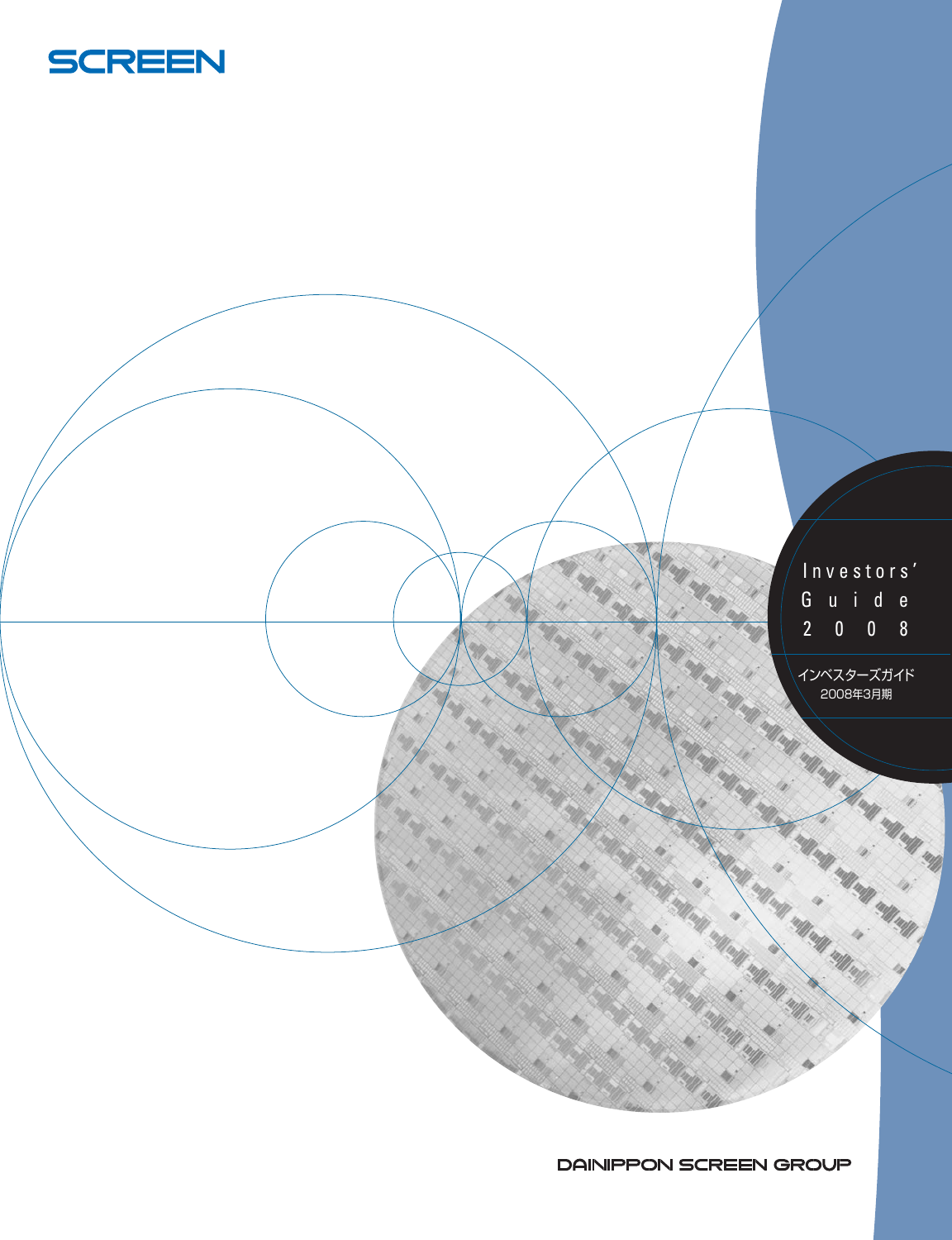



DAINIPPON SCREEN GROUP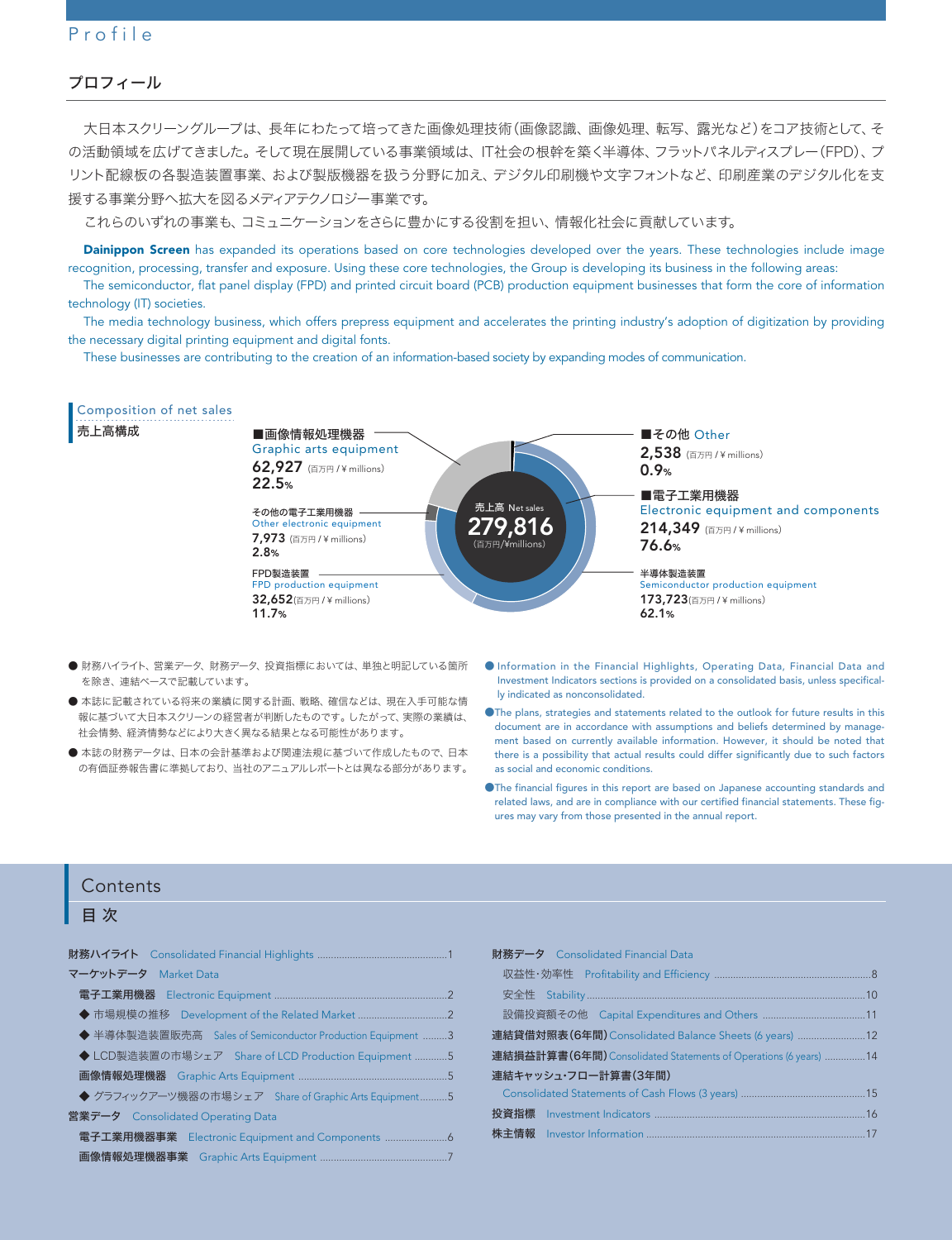# Profile

#### プロフィール

大日本スクリーングループは、長年にわたって培ってきた画像処理技術(画像認識、画像処理、転写、露光など)をコア技術として、そ の活動領域を広げてきました。そして現在展開している事業領域は、IT社会の根幹を築く半導体、フラットパネルディスプレー(FPD)、プ リント配線板の各製造装置事業、および製版機器を扱う分野に加え、デジタル印刷機や文字フォントなど、印刷産業のデジタル化を支 援する事業分野へ拡大を図るメディアテクノロジー事業です。

これらのいずれの事業も、コミュニケーションをさらに豊かにする役割を担い、情報化社会に貢献しています。

Dainippon Screen has expanded its operations based on core technologies developed over the years. These technologies include image recognition, processing, transfer and exposure. Using these core technologies, the Group is developing its business in the following areas:

The semiconductor, flat panel display (FPD) and printed circuit board (PCB) production equipment businesses that form the core of information technology (IT) societies.

The media technology business, which offers prepress equipment and accelerates the printing industry's adoption of digitization by providing the necessary digital printing equipment and digital fonts.

These businesses are contributing to the creation of an information-based society by expanding modes of communication.



- 財務ハイライト、営業データ、財務データ、投資指標においては、単独と明記している箇所 を除き、連結ベースで記載しています。
- 本誌に記載されている将来の業績に関する計画、戦略、確信などは、現在入手可能な情 報に基づいて大日本スクリーンの経営者が判断したものです。したがって、実際の業績は、 社会情勢、経済情勢などにより大きく異なる結果となる可能性があります。
- 本誌の財務データは、日本の会計基準および関連法規に基づいて作成したもので、日本 の有価証券報告書に準拠しており、当社のアニュアルレポートとは異なる部分があります。
- Information in the Financial Highlights, Operating Data, Financial Data and Investment Indicators sections is provided on a consolidated basis, unless specifically indicated as nonconsolidated.
- ●The plans, strategies and statements related to the outlook for future results in this document are in accordance with assumptions and beliefs determined by management based on currently available information. However, it should be noted that there is a possibility that actual results could differ significantly due to such factors as social and economic conditions.
- ●The financial figures in this report are based on Japanese accounting standards and related laws, and are in compliance with our certified financial statements. These figures may vary from those presented in the annual report.

#### Contents

# 目 次

| マーケットデータ Market Data                                       |
|------------------------------------------------------------|
|                                                            |
|                                                            |
| ◆ 半導体製造装置販売高 Sales of Semiconductor Production Equipment 3 |
| ◆ LCD製造装置の市場シェア Share of LCD Production Equipment 5        |
|                                                            |
| ◆ グラフィックアーツ機器の市場シェア Share of Graphic Arts Equipment5       |
| 営業データ Consolidated Operating Data                          |
| 電子工業用機器事業 Electronic Equipment and Components              |
|                                                            |

| 財務データ Consolidated Financial Data                               |  |
|-----------------------------------------------------------------|--|
|                                                                 |  |
|                                                                 |  |
|                                                                 |  |
| 連結貸借対照表(6年間) Consolidated Balance Sheets (6 years)              |  |
| 連結損益計算書(6年間) Consolidated Statements of Operations (6 years) 14 |  |
| 連結キャッシュ・フロー計算書(3年間)                                             |  |
|                                                                 |  |
|                                                                 |  |
|                                                                 |  |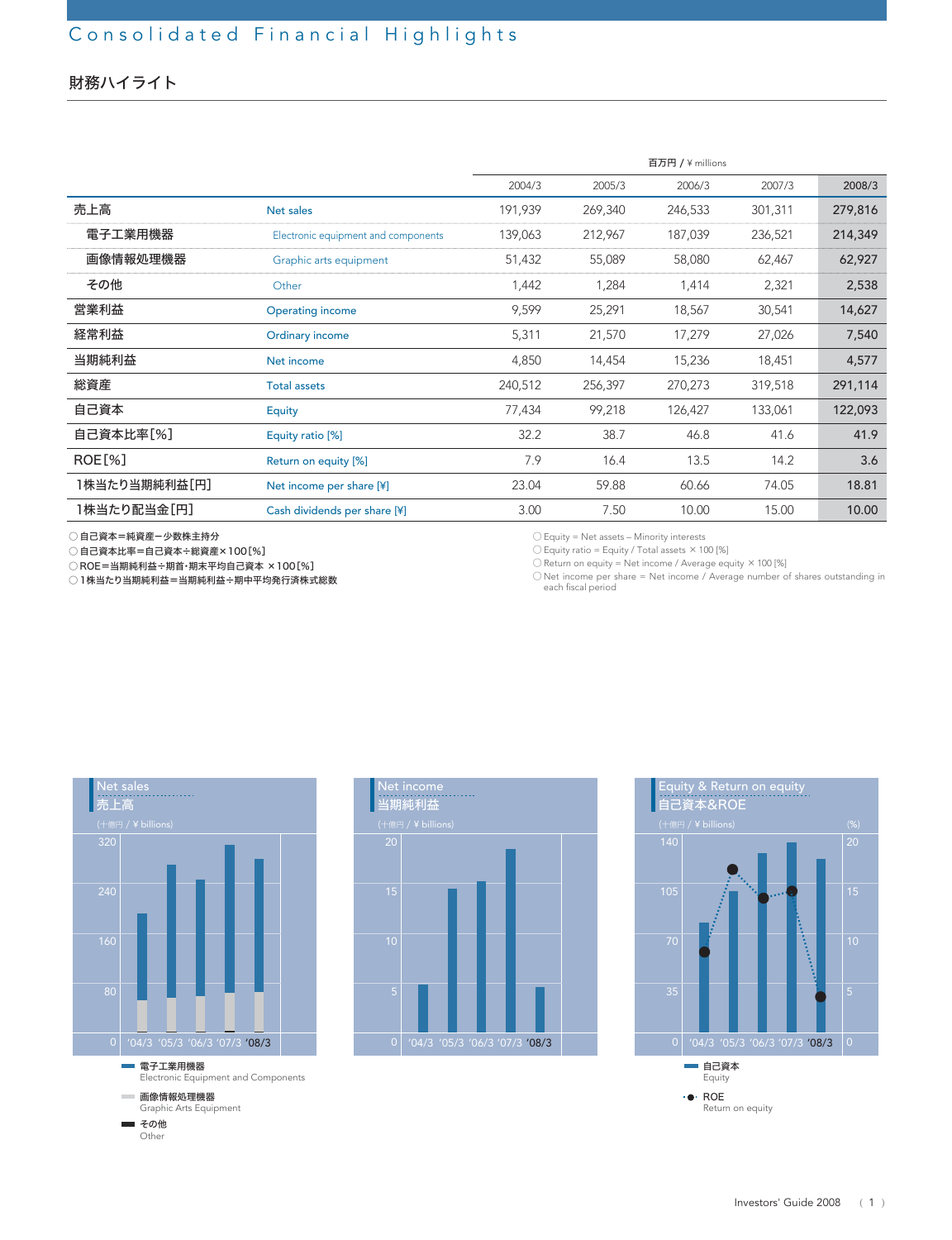# 財務ハイライト

|               |                                     |         |         | 百万円 / ¥ millions |         |         |
|---------------|-------------------------------------|---------|---------|------------------|---------|---------|
|               |                                     | 2004/3  | 2005/3  | 2006/3           | 2007/3  | 2008/3  |
| 売上高           | Net sales                           | 191,939 | 269,340 | 246,533          | 301,311 | 279,816 |
| 電子工業用機器       | Electronic equipment and components | 139,063 | 212,967 | 187,039          | 236,521 | 214,349 |
| 画像情報処理機器      | Graphic arts equipment              | 51,432  | 55,089  | 58,080           | 62,467  | 62,927  |
| その他           | Other                               | 1,442   | 1,284   | 1,414            | 2,321   | 2,538   |
| 営業利益          | <b>Operating income</b>             | 9,599   | 25,291  | 18,567           | 30,541  | 14,627  |
| 経常利益          | Ordinary income                     | 5,311   | 21,570  | 17,279           | 27,026  | 7,540   |
| 当期純利益         | Net income                          | 4,850   | 14,454  | 15,236           | 18,451  | 4,577   |
| 総資産           | <b>Total assets</b>                 | 240,512 | 256,397 | 270,273          | 319,518 | 291,114 |
| 自己資本          | Equity                              | 77,434  | 99,218  | 126,427          | 133,061 | 122,093 |
| 自己資本比率[%]     | Equity ratio [%]                    | 32.2    | 38.7    | 46.8             | 41.6    | 41.9    |
| ROE[%]        | Return on equity [%]                | 7.9     | 16.4    | 13.5             | 14.2    | 3.6     |
| 1株当たり当期純利益[円] | Net income per share [¥]            | 23.04   | 59.88   | 60.66            | 74.05   | 18.81   |
| 1株当たり配当金[円]   | Cash dividends per share [¥]        | 3.00    | 7.50    | 10.00            | 15.00   | 10.00   |

○ 自己資本=純資産-少数株主持分

○ 自己資本比率=自己資本÷総資産×100[%]

○ ROE=当期純利益÷期首・期末平均自己資本 ×100[%]

○1株当たり当期純利益=当期純利益÷期中平均発行済株式総数

○ Equity = Net assets – Minority interests

 $\bigcirc$  Equity ratio = Equity / Total assets  $\times$  100 [%]

○ Return on equity = Net income / Average equity ×100 [%]

○ Net income per share = Net income / Average number of shares outstanding in each fiscal period



■ その他 **Other** 



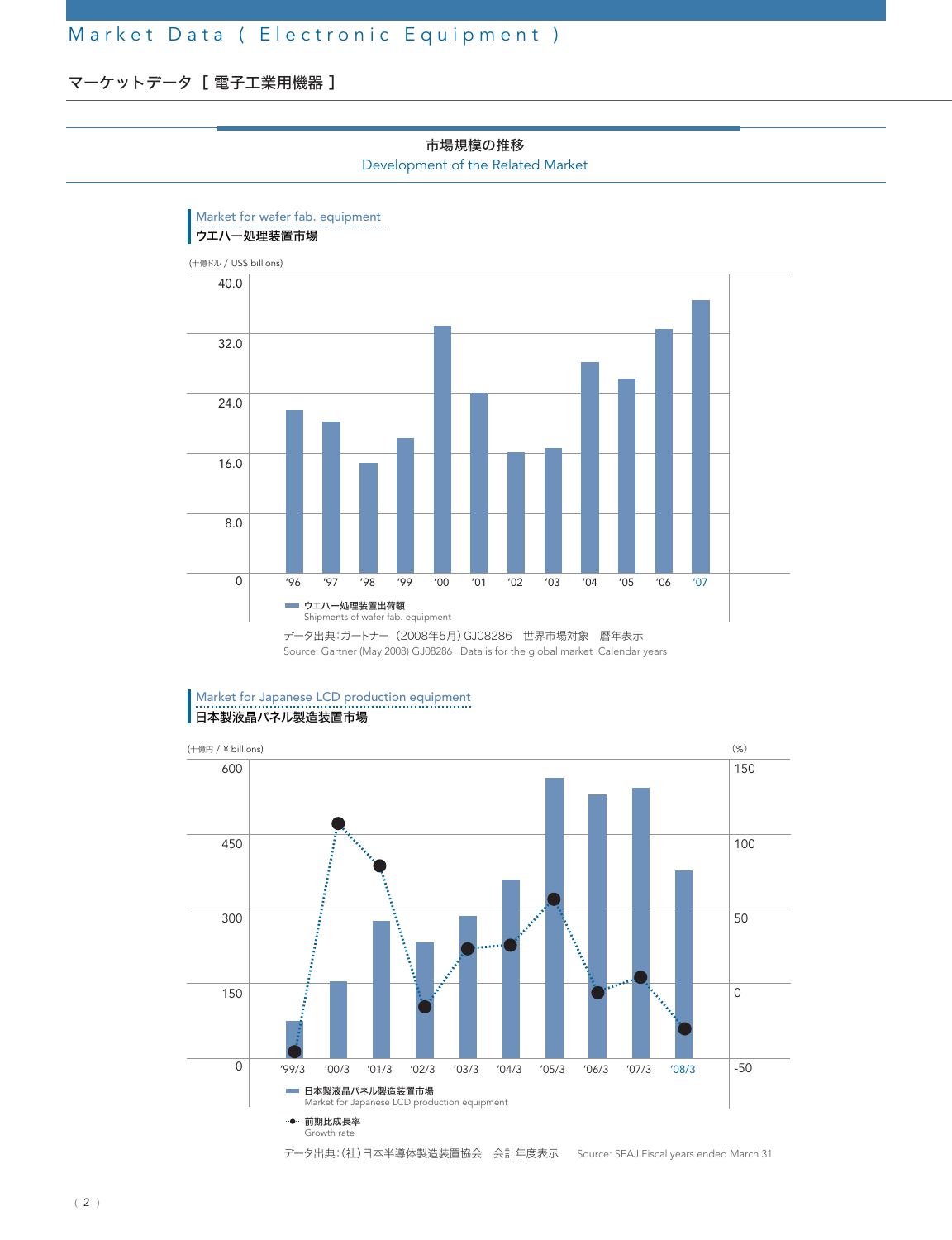# マーケットデータ [ 電子工業用機器]



市場規模の推移 Development of the Related Market

データ出典:ガートナー(2008年5月)GJ08286 世界市場対象 暦年表示 Source: Gartner (May 2008) GJ08286 Data is for the global market Calendar years

#### Market for Japanese LCD production equipment ■ <del>…………………………………………</del><br>■ 日本製液晶パネル製造装置市場

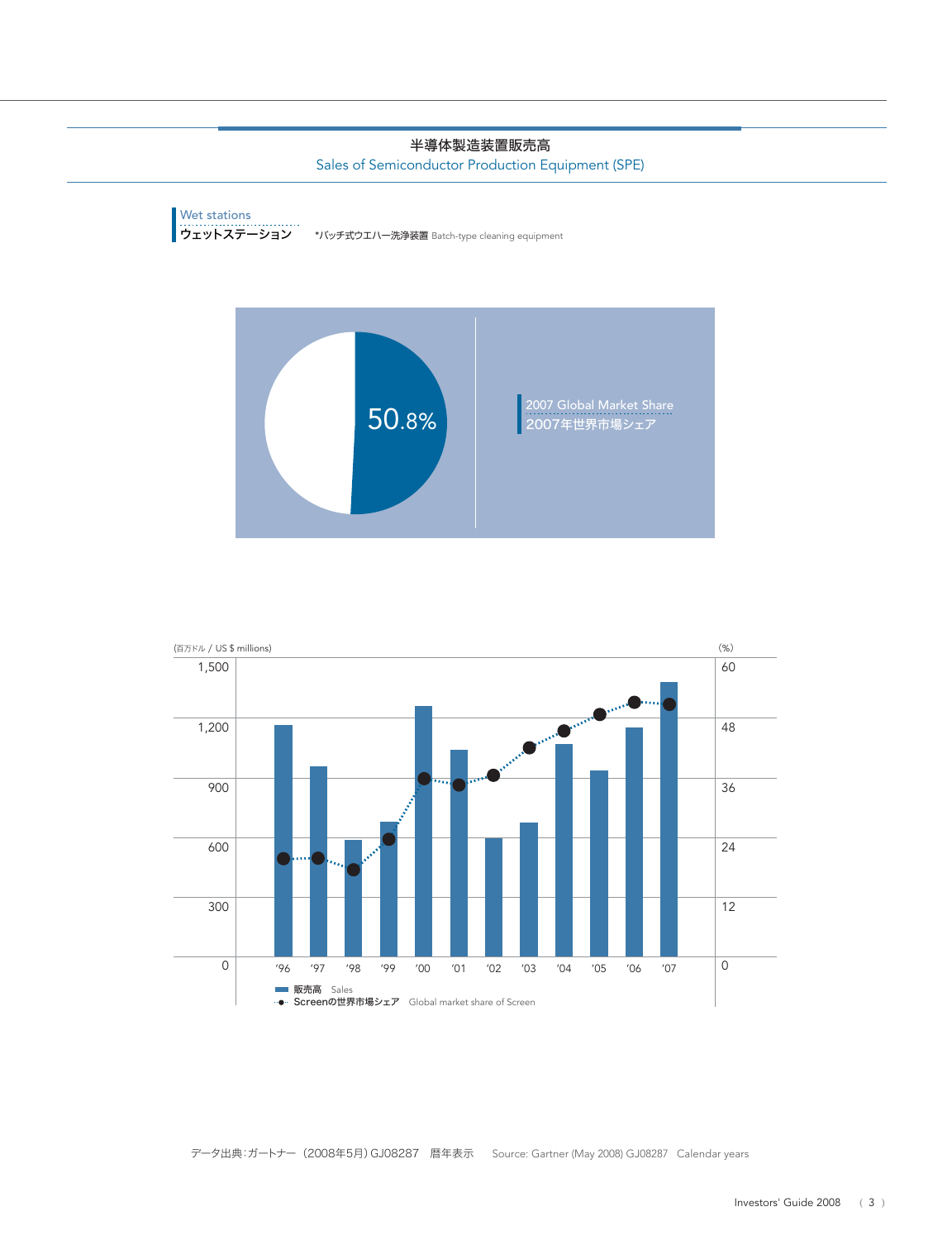#### 半導体製造装置販売高

Sales of Semiconductor Production Equipment (SPE)





データ出典:ガートナー(2008年5月)GJ08287 暦年表示 Source: Gartner (May 2008) GJ08287 Calendar years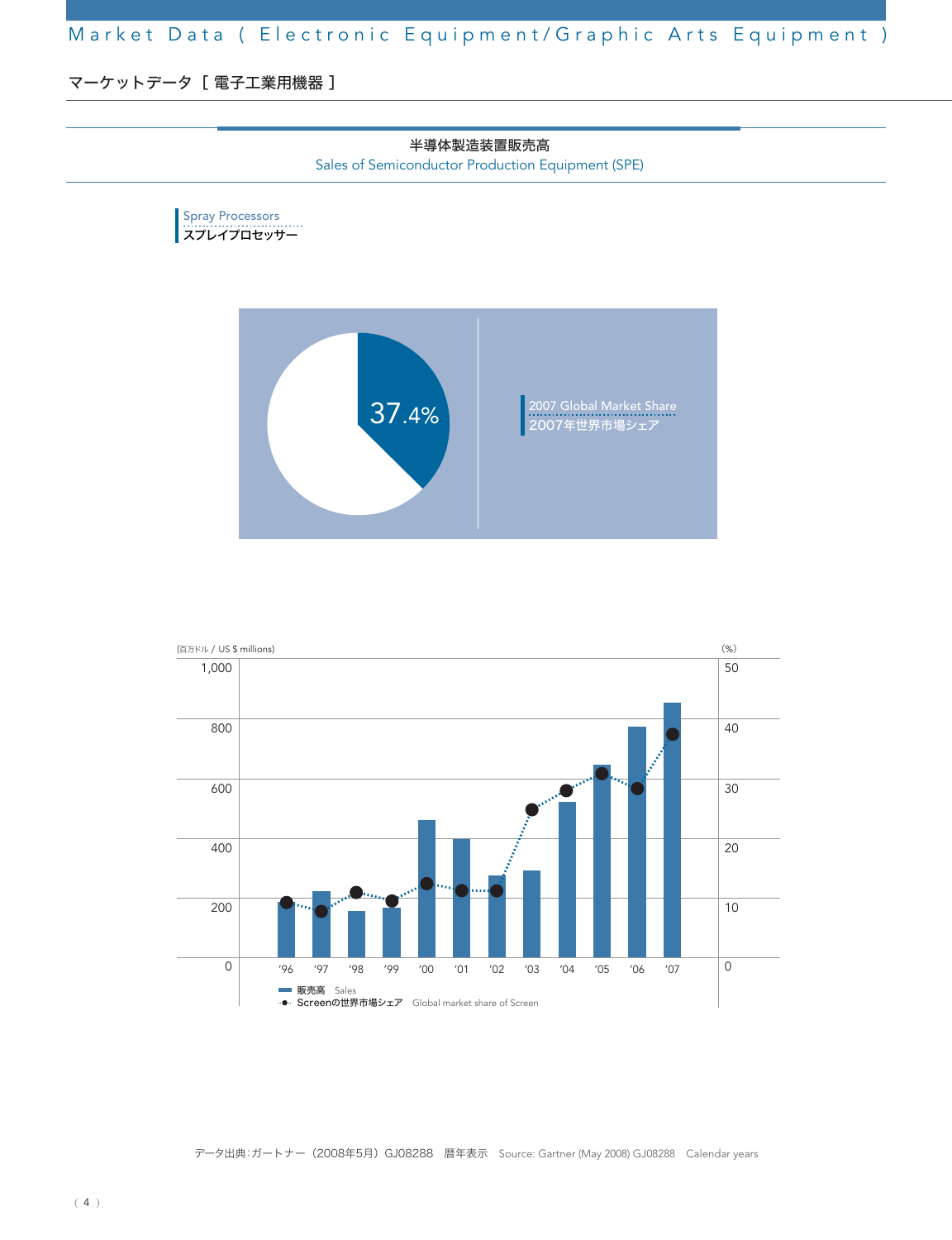マーケットデータ [ 電子工業用機器 ]





データ出典:ガートナー(2008年5月)GJ08288 暦年表示 Source: Gartner (May 2008) GJ08288 Calendar years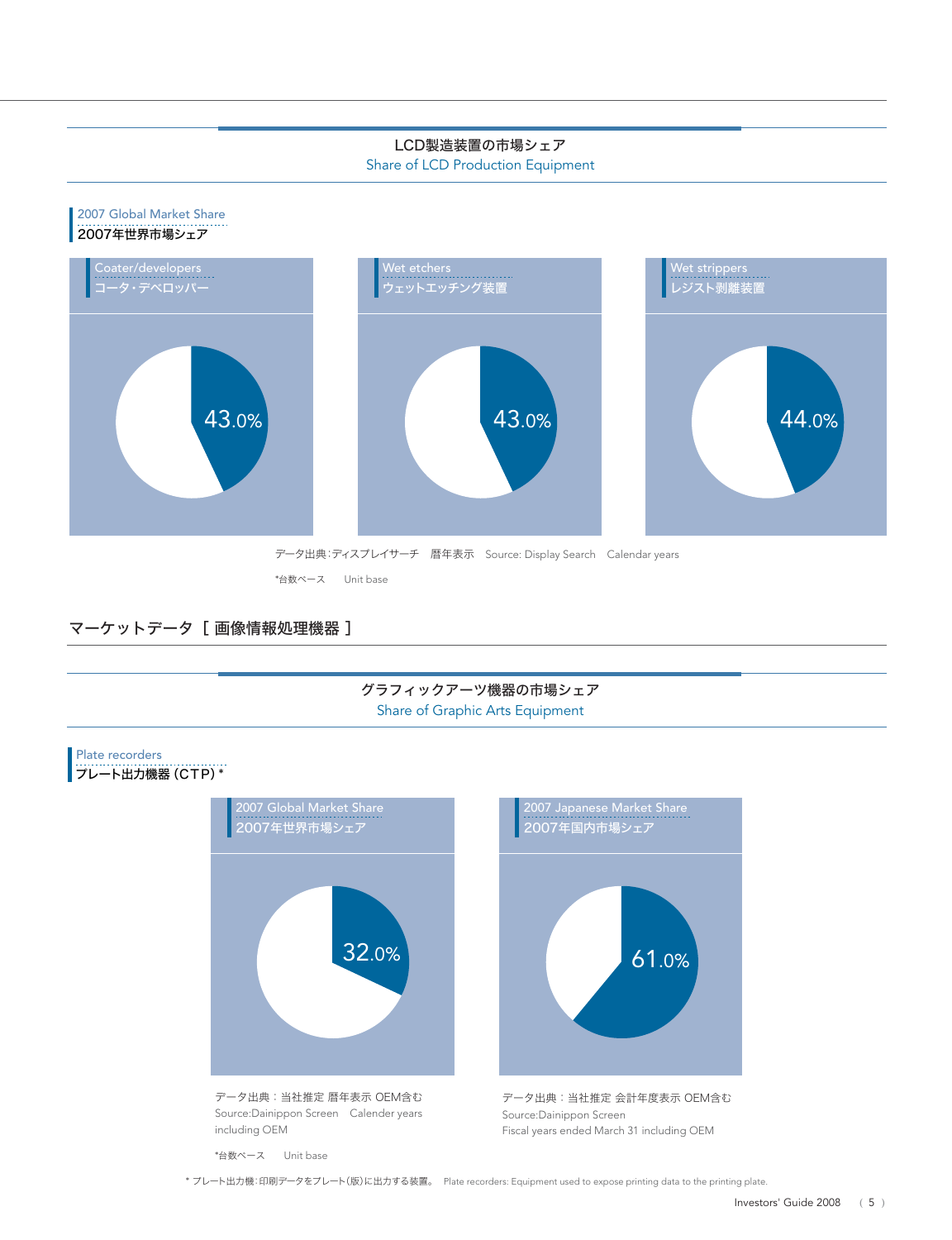#### LCD製造装置の市場シェア

Share of LCD Production Equipment



マーケットデータ [画像情報処理機器]

#### グラフィックアーツ機器の市場シェア Share of Graphic Arts Equipment

### Plate recorders

# プレート出力機器(CTP)\*



\*台数ベース Unit base

\* プレート出力機:印刷データをプレート(版)に出力する装置。 Plate recorders: Equipment used to expose printing data to the printing plate.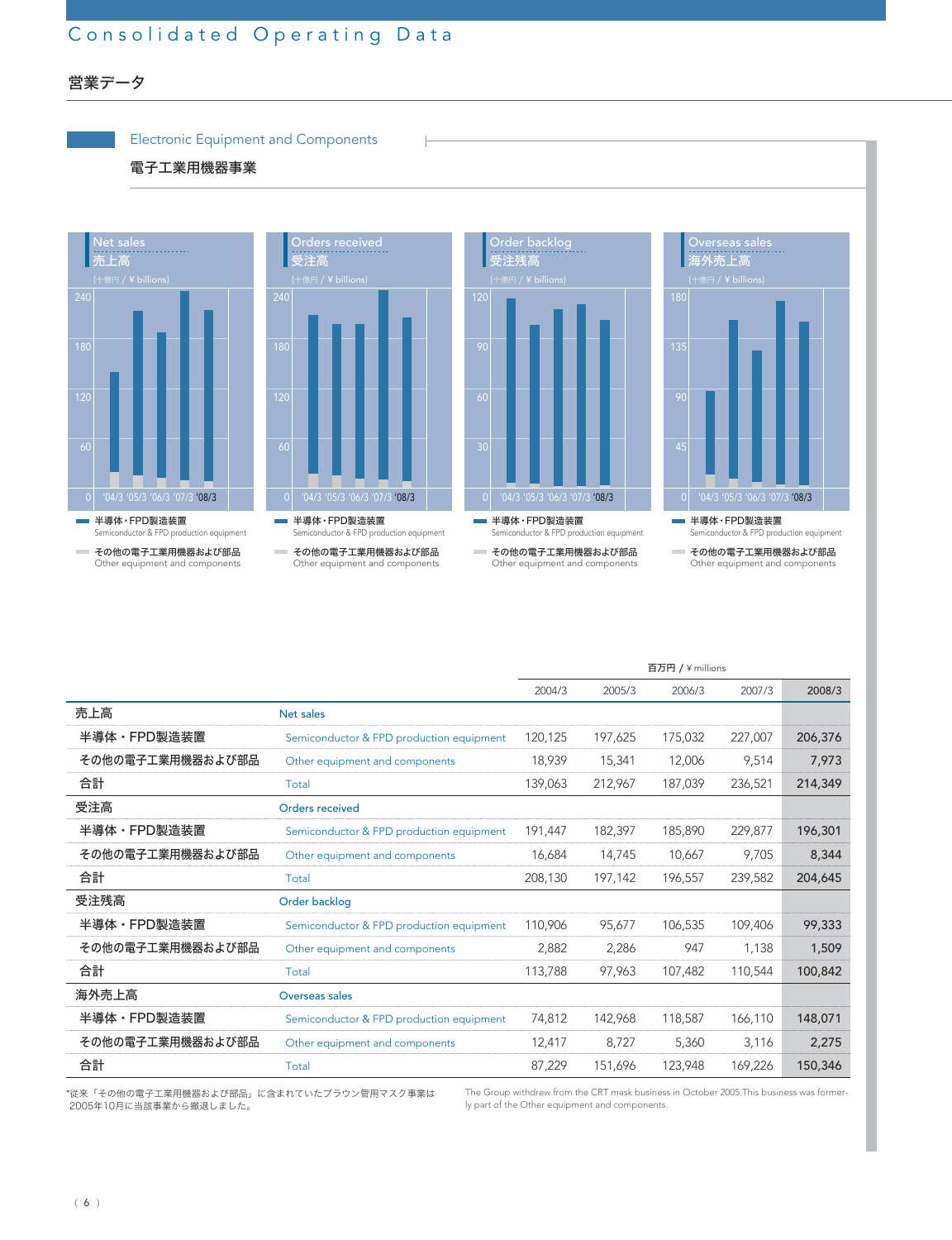# Consolidated Operating Data

### 営業データ



|                  |                                          |         |         | 百万円 / ¥ millions |         |         |
|------------------|------------------------------------------|---------|---------|------------------|---------|---------|
|                  |                                          | 2004/3  | 2005/3  | 2006/3           | 2007/3  | 2008/3  |
| 売上高              | Net sales                                |         |         |                  |         |         |
| 半導体・FPD製造装置      | Semiconductor & FPD production equipment | 120.125 | 197,625 | 175,032          | 227,007 | 206,376 |
| その他の電子工業用機器および部品 | Other equipment and components           | 18,939  | 15,341  | 12,006           | 9,514   | 7,973   |
| 合計               | Total                                    | 139,063 | 212,967 | 187,039          | 236,521 | 214,349 |
| 受注高              | Orders received                          |         |         |                  |         |         |
| 半導体・FPD製造装置      | Semiconductor & FPD production equipment | 191,447 | 182,397 | 185,890          | 229,877 | 196,301 |
| その他の電子工業用機器および部品 | Other equipment and components           | 16,684  | 14,745  | 10,667           | 9,705   | 8,344   |
| 合計               | Total                                    | 208,130 | 197,142 | 196,557          | 239,582 | 204,645 |
| 受注残高             | Order backlog                            |         |         |                  |         |         |
| 半導体・FPD製造装置      | Semiconductor & FPD production equipment | 110,906 | 95,677  | 106,535          | 109,406 | 99,333  |
| その他の電子工業用機器および部品 | Other equipment and components           | 2,882   | 2,286   | 947              | 1,138   | 1,509   |
| 合計               | Total                                    | 113,788 | 97,963  | 107,482          | 110,544 | 100,842 |
| 海外売上高            | Overseas sales                           |         |         |                  |         |         |
| 半導体・FPD製造装置      | Semiconductor & FPD production equipment | 74,812  | 142,968 | 118,587          | 166,110 | 148,071 |
| その他の電子工業用機器および部品 | Other equipment and components           | 12,417  | 8,727   | 5,360            | 3,116   | 2,275   |
| 合計               | Total                                    | 87,229  | 151,696 | 123,948          | 169,226 | 150,346 |

\*従来「その他の電子工業用機器および部品」に含まれていたブラウン管用マスク事業は 2005年10月に当該事業から撤退しました。

The Group withdrew from the CRT mask business in October 2005.This business was formerly part of the Other equipment and components.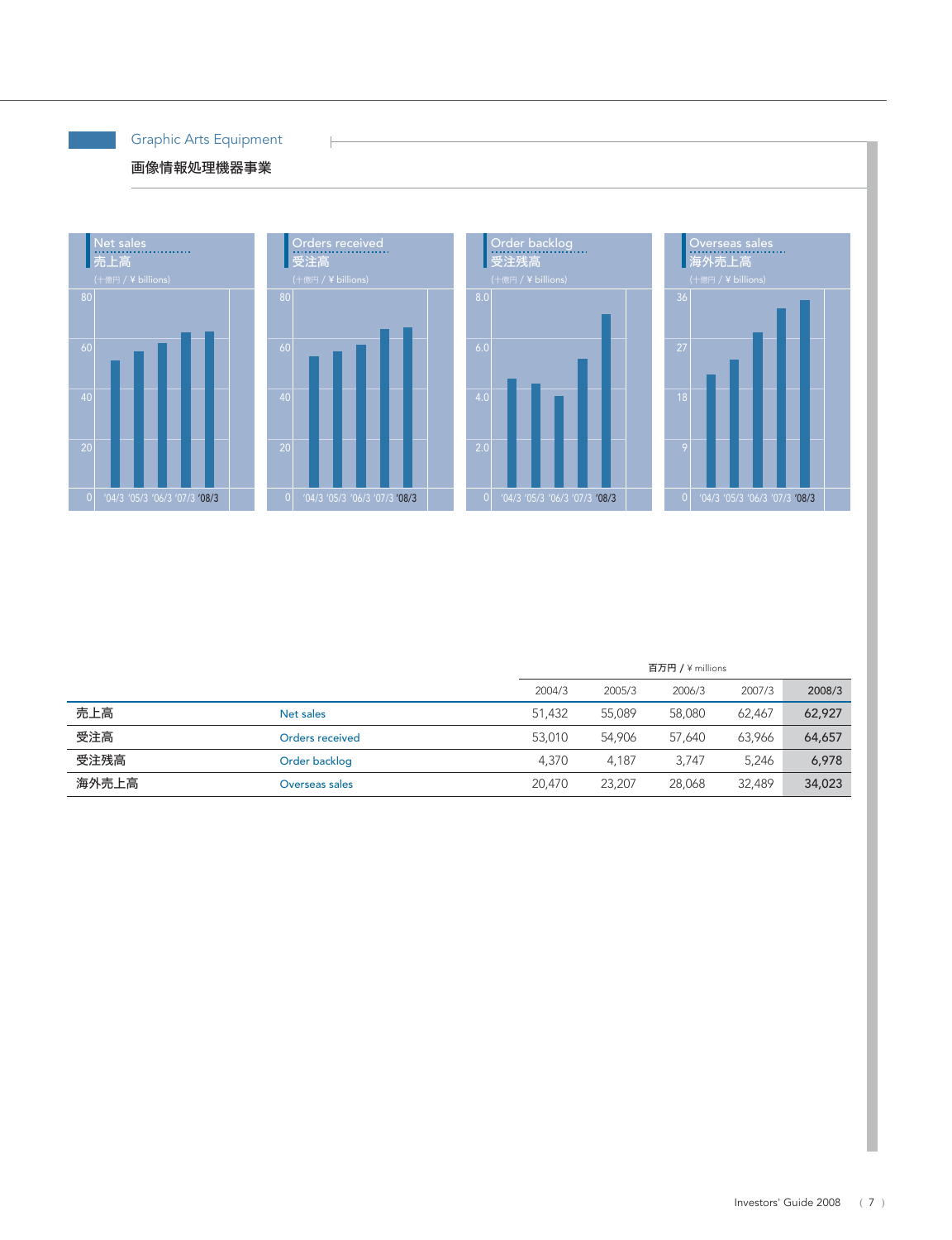Graphic Arts Equipment

 $\frac{1}{2}$ 

# 画像情報処理機器事業



|       |                 | 百万円 / \millions |        |        |        |        |
|-------|-----------------|-----------------|--------|--------|--------|--------|
|       |                 | 2004/3          | 2005/3 | 2006/3 | 2007/3 | 2008/3 |
| 売上高   | Net sales       | 51.432          | 55.089 | 58,080 | 62.467 | 62,927 |
| 受注高   | Orders received | 53.010          | 54.906 | 57.640 | 63.966 | 64,657 |
| 受注残高  | Order backlog   | 4.370           | 4.187  | 3.747  | 5.246  | 6,978  |
| 海外売上高 | Overseas sales  | 20,470          | 23,207 | 28,068 | 32,489 | 34,023 |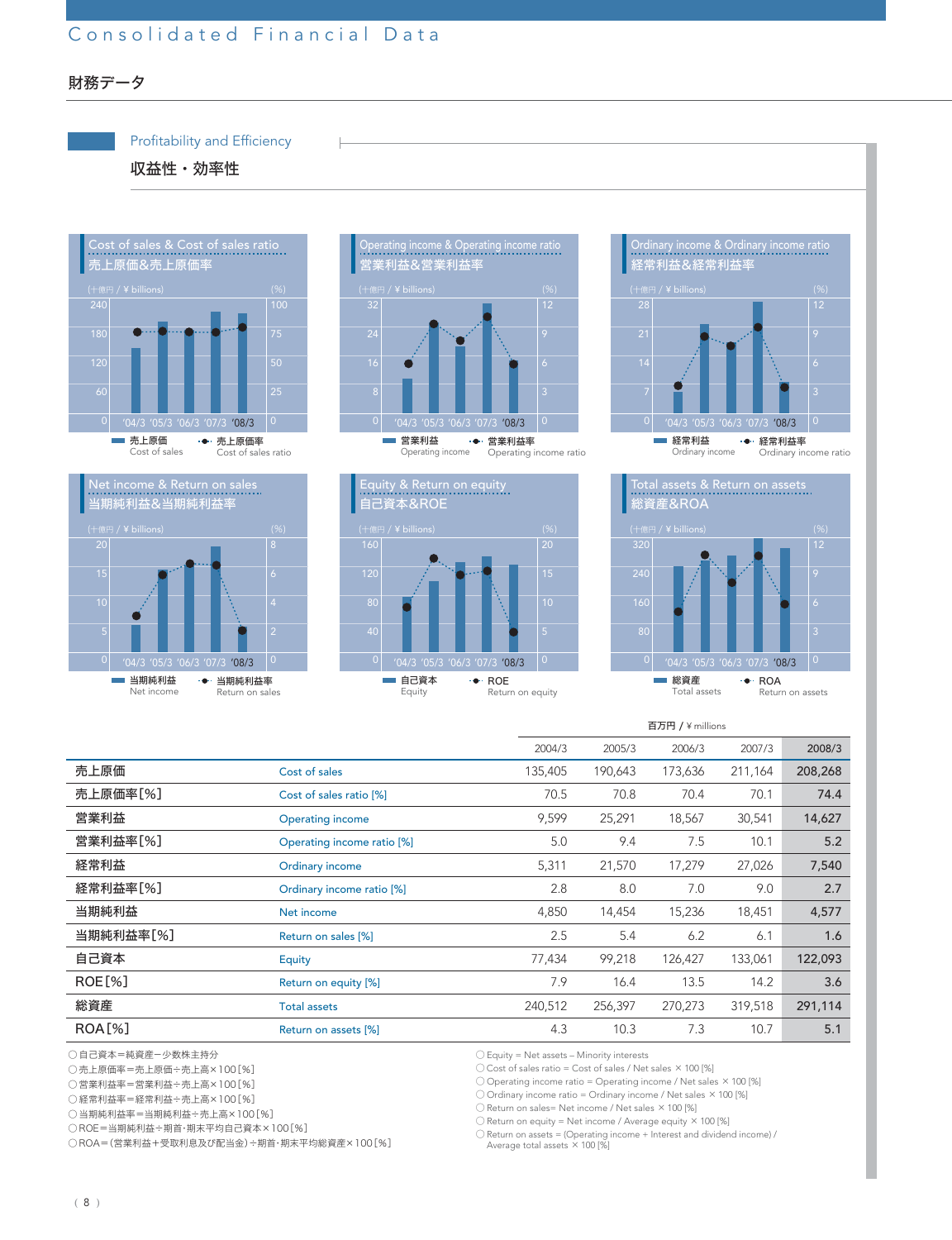# Consolidated Financial Data



収益性・効率性













|               |                            | 百万円 / ¥ millions |         |         |         |         |
|---------------|----------------------------|------------------|---------|---------|---------|---------|
|               |                            | 2004/3           | 2005/3  | 2006/3  | 2007/3  | 2008/3  |
| 売上原価          | Cost of sales              | 135,405          | 190,643 | 173,636 | 211,164 | 208,268 |
| 売上原価率[%]      | Cost of sales ratio [%]    | 70.5             | 70.8    | 70.4    | 70.1    | 74.4    |
| 営業利益          | <b>Operating income</b>    | 9,599            | 25,291  | 18,567  | 30,541  | 14,627  |
| 営業利益率[%]      | Operating income ratio [%] | 5.0              | 9.4     | 7.5     | 10.1    | 5.2     |
| 経常利益          | Ordinary income            | 5,311            | 21,570  | 17,279  | 27,026  | 7,540   |
| 経常利益率[%]      | Ordinary income ratio [%]  | 2.8              | 8.0     | 7.0     | 9.0     | 2.7     |
| 当期純利益         | Net income                 | 4,850            | 14,454  | 15,236  | 18,451  | 4,577   |
| 当期純利益率[%]     | Return on sales [%]        | 2.5              | 5.4     | 6.2     | 6.1     | 1.6     |
| 自己資本          | Equity                     | 77,434           | 99,218  | 126,427 | 133,061 | 122,093 |
| ROE[%]        | Return on equity [%]       | 7.9              | 16.4    | 13.5    | 14.2    | 3.6     |
| 総資産           | <b>Total assets</b>        | 240,512          | 256,397 | 270,273 | 319,518 | 291,114 |
| <b>ROA[%]</b> | Return on assets [%]       | 4.3              | 10.3    | 7.3     | 10.7    | 5.1     |
|               |                            |                  |         |         |         |         |

○ 自己資本=純資産-少数株主持分

○ 売上原価率=売上原価÷売上高×100[%]

○ 営業利益率=営業利益÷売上高×100[%]

- 経常利益率=経常利益÷売上高×100[%]
- 当期純利益率=当期純利益÷売上高×100[%]

○ ROE=当期純利益÷期首・期末平均自己資本×100[%]

○ ROA=(営業利益+受取利息及び配当金)÷期首・期末平均総資産×100[%]

○ Equity = Net assets – Minority interests

○ Cost of sales ratio = Cost of sales / Net sales ×100 [%]

○ Operating income ratio = Operating income / Net sales ×100 [%]

○ Ordinary income ratio = Ordinary income / Net sales ×100 [%]

○ Return on sales= Net income / Net sales ×100 [%]

○ Return on equity = Net income / Average equity ×100 [%]

 $\bigcirc$  Return on assets = (Operating income + Interest and dividend income) /<br>Average total assets  $\times$  100 [%]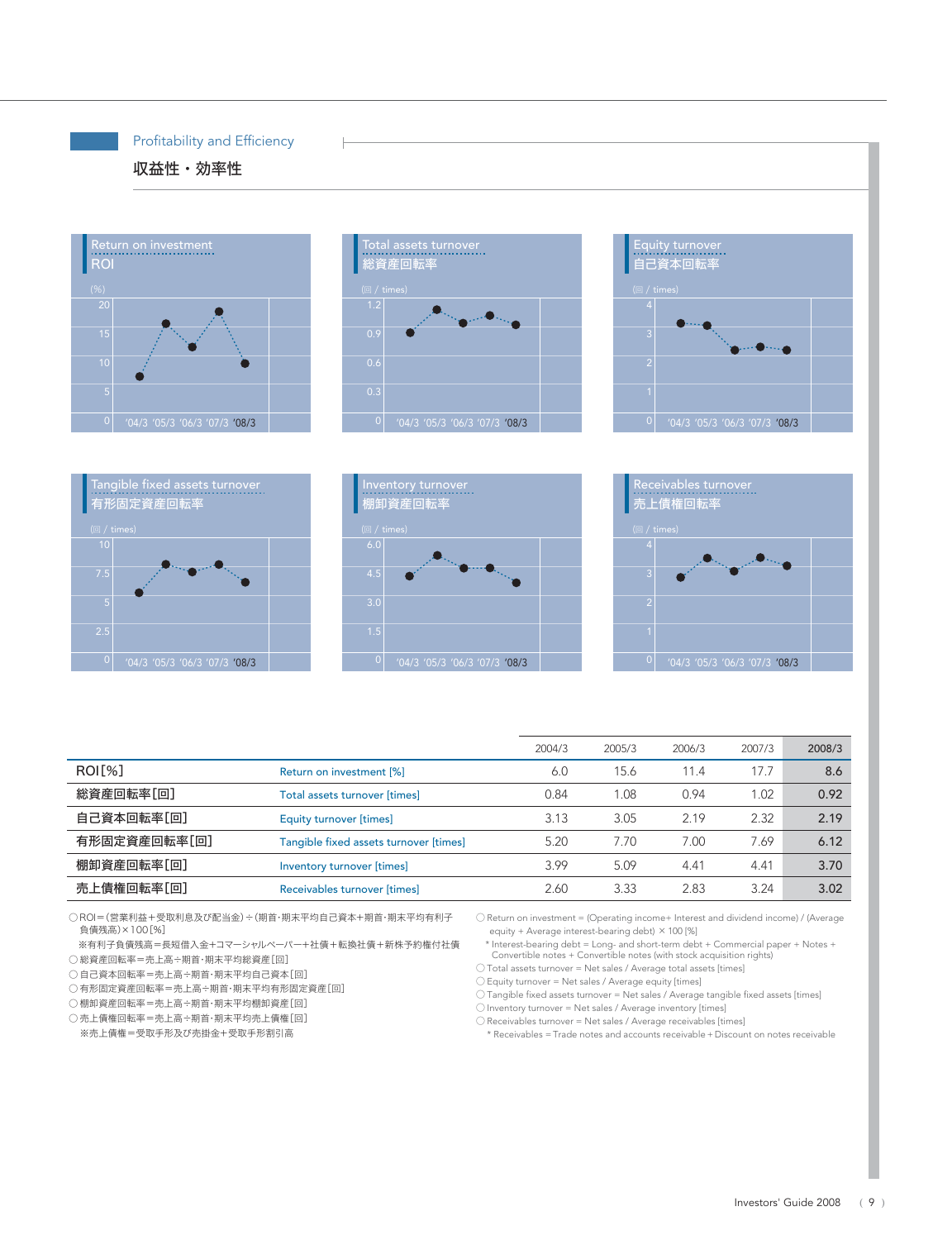### Profitability and Efficiency

# 収益性・効率性













|                     |                                        | 2004/3 | 2005/3 | 2006/3 | 2007/3 | 2008/3 |
|---------------------|----------------------------------------|--------|--------|--------|--------|--------|
| ROI <sub>[%</sub> ] | Return on investment [%]               | 6.0    | 15.6   | 11.4   | 17.7   | 8.6    |
| 総資産回転率[回]           | Total assets turnover [times]          | 0.84   | 1.08   | 0.94   | 1.02   | 0.92   |
| 自己資本回転率[回]          | Equity turnover [times]                | 3.13   | 3.05   | 2.19   | 2.32   | 2.19   |
| 有形固定資産回転率[回]        | Tangible fixed assets turnover [times] | 5.20   | 7.70   | 7.00   | 7.69   | 6.12   |
| 棚卸資産回転率[回]          | Inventory turnover [times]             | 3.99   | 5.09   | 4.41   | 4.41   | 3.70   |
| 売上債権回転率[回]          | Receivables turnover [times]           | 2.60   | 3.33   | 2.83   | 3.24   | 3.02   |

○ ROI=(営業利益+受取利息及び配当金)÷(期首・期末平均自己資本+期首・期末平均有利子 負債残高)×100[%]

※有利子負債残高=長短借入金+コマーシャルペーパー+社債+転換社債+新株予約権付社債 ○ 総資産回転率=売上高÷期首・期末平均総資産[回]

○ 自己資本回転率=売上高÷期首・期末平均自己資本[回]

- 有形固定資産回転率=売上高÷期首・期末平均有形固定資産[回]
- 棚卸資産回転率=売上高÷期首・期末平均棚卸資産[回]

○ 売上債権回転率=売上高÷期首・期末平均売上債権[回]

※売上債権=受取手形及び売掛金+受取手形割引高

○ Return on investment = (Operating income+ Interest and dividend income) / (Average equity + Average interest-bearing debt) ×100 [%]

○\* Interest-bearing debt = Long- and short-term debt + Commercial paper + Notes + Convertible notes + Convertible notes (with stock acquisition rights) ○ Total assets turnover = Net sales / Average total assets [times]

○ Equity turnover = Net sales / Average equity [times]

 $\bigcirc$  Tangible fixed assets turnover = Net sales / Average tangible fixed assets [times]

○ Inventory turnover = Net sales / Average inventory [times]

○ Receivables turnover = Net sales / Average receivables [times]

\* Receivables = Trade notes and accounts receivable + Discount on notes receivable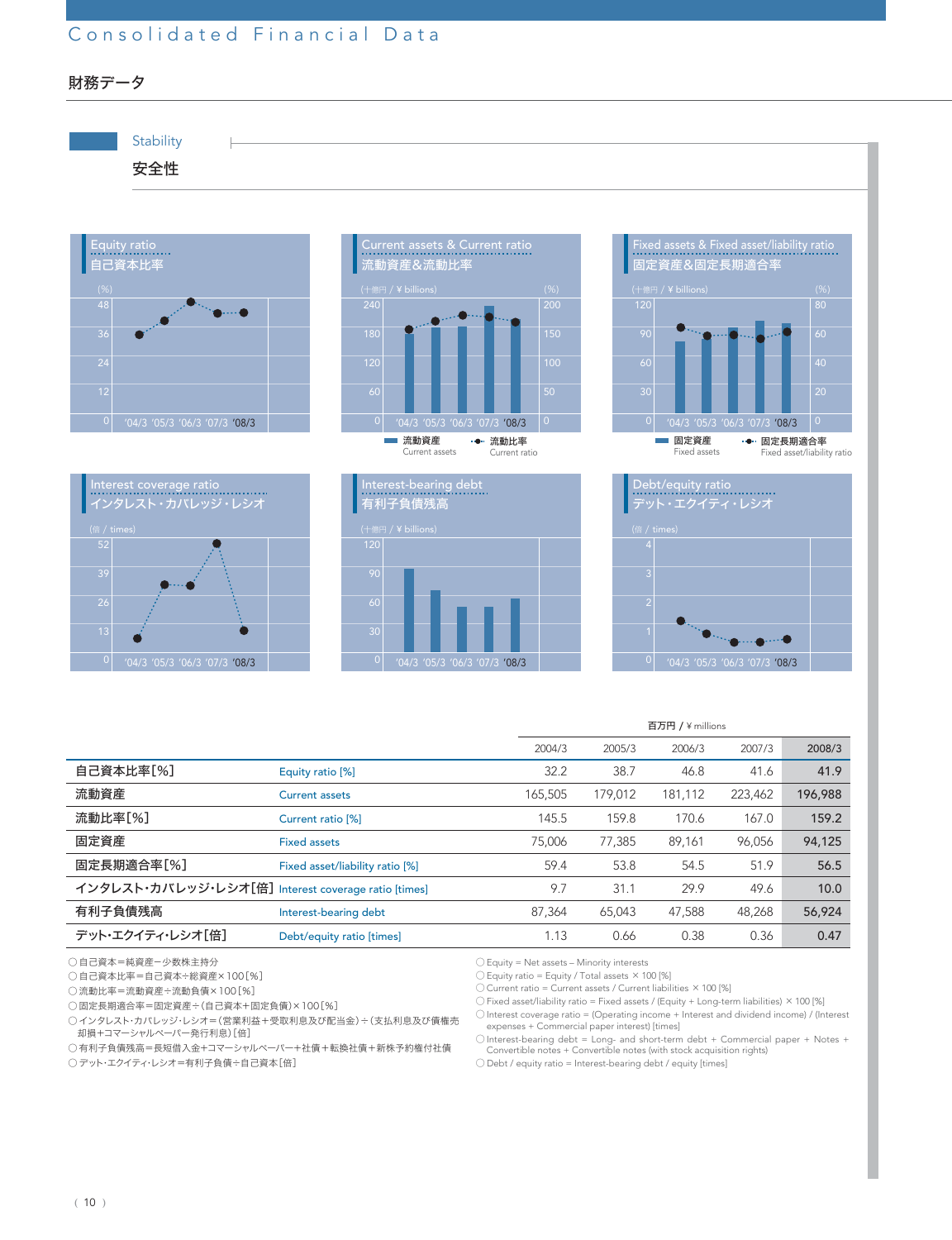# Consolidated Financial Data

財務データ



|                                                     |                                 |         | 百万円 / ¥ millions |         |         |         |  |
|-----------------------------------------------------|---------------------------------|---------|------------------|---------|---------|---------|--|
|                                                     |                                 | 2004/3  | 2005/3           | 2006/3  | 2007/3  | 2008/3  |  |
| 自己資本比率[%]                                           | Equity ratio [%]                | 32.2    | 38.7             | 46.8    | 41.6    | 41.9    |  |
| 流動資産                                                | <b>Current assets</b>           | 165,505 | 179,012          | 181.112 | 223,462 | 196,988 |  |
| 流動比率[%]                                             | Current ratio <sup>[%]</sup>    | 145.5   | 159.8            | 170.6   | 167.0   | 159.2   |  |
| 固定資産                                                | <b>Fixed assets</b>             | 75,006  | 77.385           | 89.161  | 96.056  | 94,125  |  |
| 固定長期適合率[%]                                          | Fixed asset/liability ratio [%] | 59.4    | 53.8             | 54.5    | 51.9    | 56.5    |  |
| インタレスト・カバレッジ・レシオ[倍] Interest coverage ratio [times] |                                 | 9.7     | 31.1             | 29.9    | 49.6    | 10.0    |  |
| 有利子負債残高                                             | Interest-bearing debt           | 87,364  | 65,043           | 47.588  | 48.268  | 56,924  |  |
| デット・エクイティ・レシオ[倍]                                    | Debt/equity ratio [times]       | 1.13    | 0.66             | 0.38    | 0.36    | 0.47    |  |

○ 自己資本=純資産-少数株主持分

○ 自己資本比率=自己資本÷総資産×100[%]

○ 流動比率=流動資産÷流動負債×100[%]

○ 固定長期適合率=固定資産÷(自己資本+固定負債)×100[%]

○インタレスト・カバレッジ・レシオ=(営業利益+受取利息及び配当金)÷(支払利息及び債権売

却損+コマーシャルペーパー発行利息)[倍]

○有利子負債残高=長短借入金+コマーシャルペーパー+社債+転換社債+新株予約権付社債

○デット・エクイティ・レシオ=有利子負債÷自己資本[倍]

○ Equity = Net assets – Minority interests

 $\bigcirc$  Equity ratio = Equity / Total assets  $\times$  100 [%]

○ Current ratio = Current assets / Current liabilities ×100 [%]

○ Fixed asset/liability ratio = Fixed assets / (Equity + Long-term liabilities) ×100 [%] ○ Interest coverage ratio = (Operating income + Interest and dividend income) / (Interest expenses + Commercial paper interest) [times]

○ Interest-bearing debt = Long- and short-term debt + Commercial paper + Notes + Convertible notes + Convertible notes (with stock acquisition rights)

○ Debt / equity ratio = Interest-bearing debt / equity [times]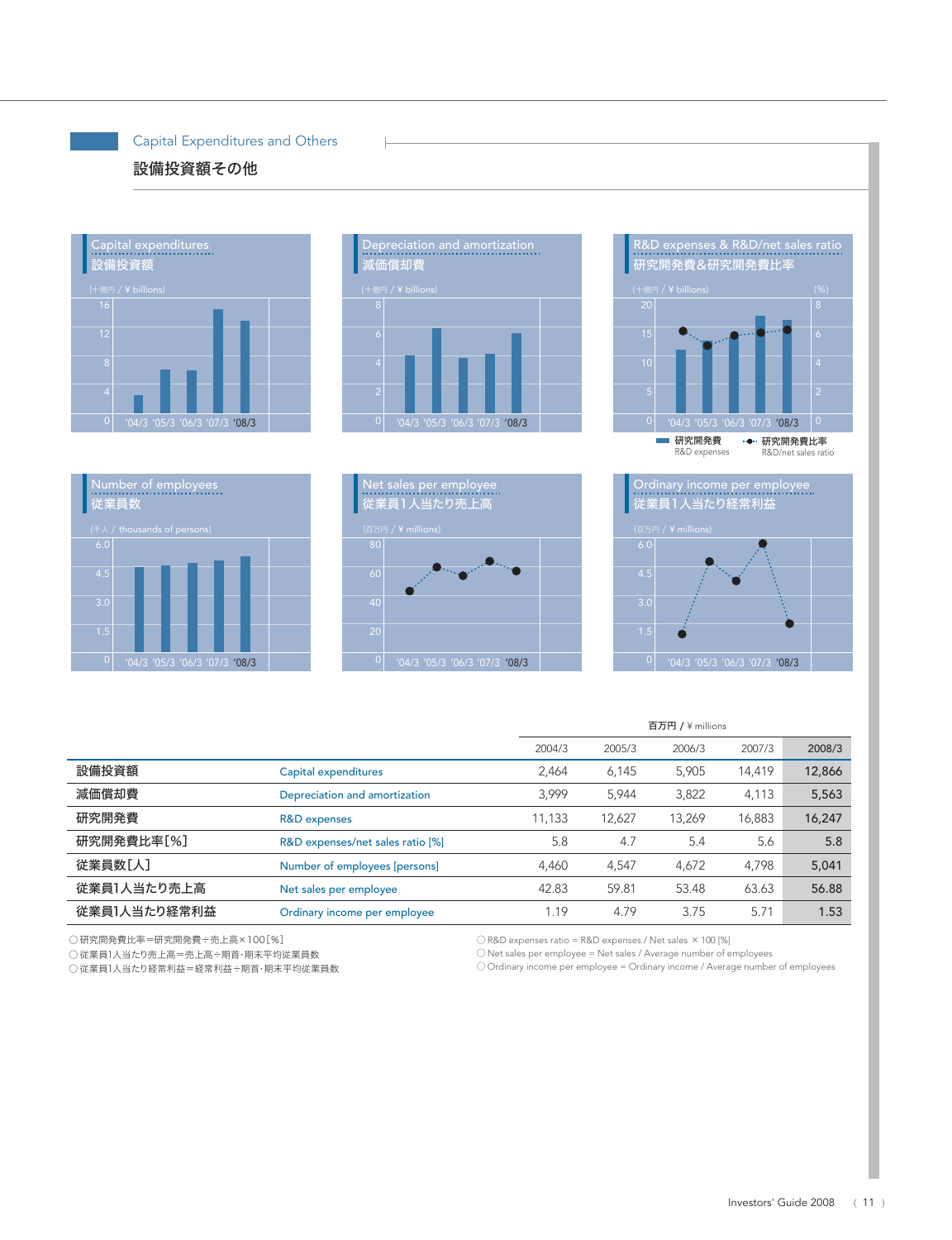### Capital Expenditures and Others

# 設備投資額その他





H









|              |                                  | 百万円 / ¥ millions |        |        |        |        |
|--------------|----------------------------------|------------------|--------|--------|--------|--------|
|              |                                  | 2004/3           | 2005/3 | 2006/3 | 2007/3 | 2008/3 |
| 設備投資額        | Capital expenditures             | 2,464            | 6,145  | 5,905  | 14,419 | 12,866 |
| 減価償却費        | Depreciation and amortization    | 3.999            | 5,944  | 3,822  | 4,113  | 5,563  |
| 研究開発費        | R&D expenses                     | 11,133           | 12,627 | 13,269 | 16,883 | 16,247 |
| 研究開発費比率[%]   | R&D expenses/net sales ratio [%] | 5.8              | 4.7    | 5.4    | 5.6    | 5.8    |
| 従業員数[人]      | Number of employees [persons]    | 4,460            | 4,547  | 4,672  | 4.798  | 5,041  |
| 従業員1人当たり売上高  | Net sales per employee           | 42.83            | 59.81  | 53.48  | 63.63  | 56.88  |
| 従業員1人当たり経常利益 | Ordinary income per employee     | 1.19             | 4.79   | 3.75   | 5.71   | 1.53   |

○ 研究開発費比率=研究開発費÷売上高×100[%]

○ R&D expenses ratio = R&D expenses / Net sales ×100 [%]

○ Net sales per employee = Net sales / Average number of employees

○ 従業員1人当たり売上高=売上高÷期首・期末平均従業員数 ○ 従業員1人当たり経常利益=経常利益÷期首・期末平均従業員数

O Ordinary income per employee = Ordinary income / Average number of employees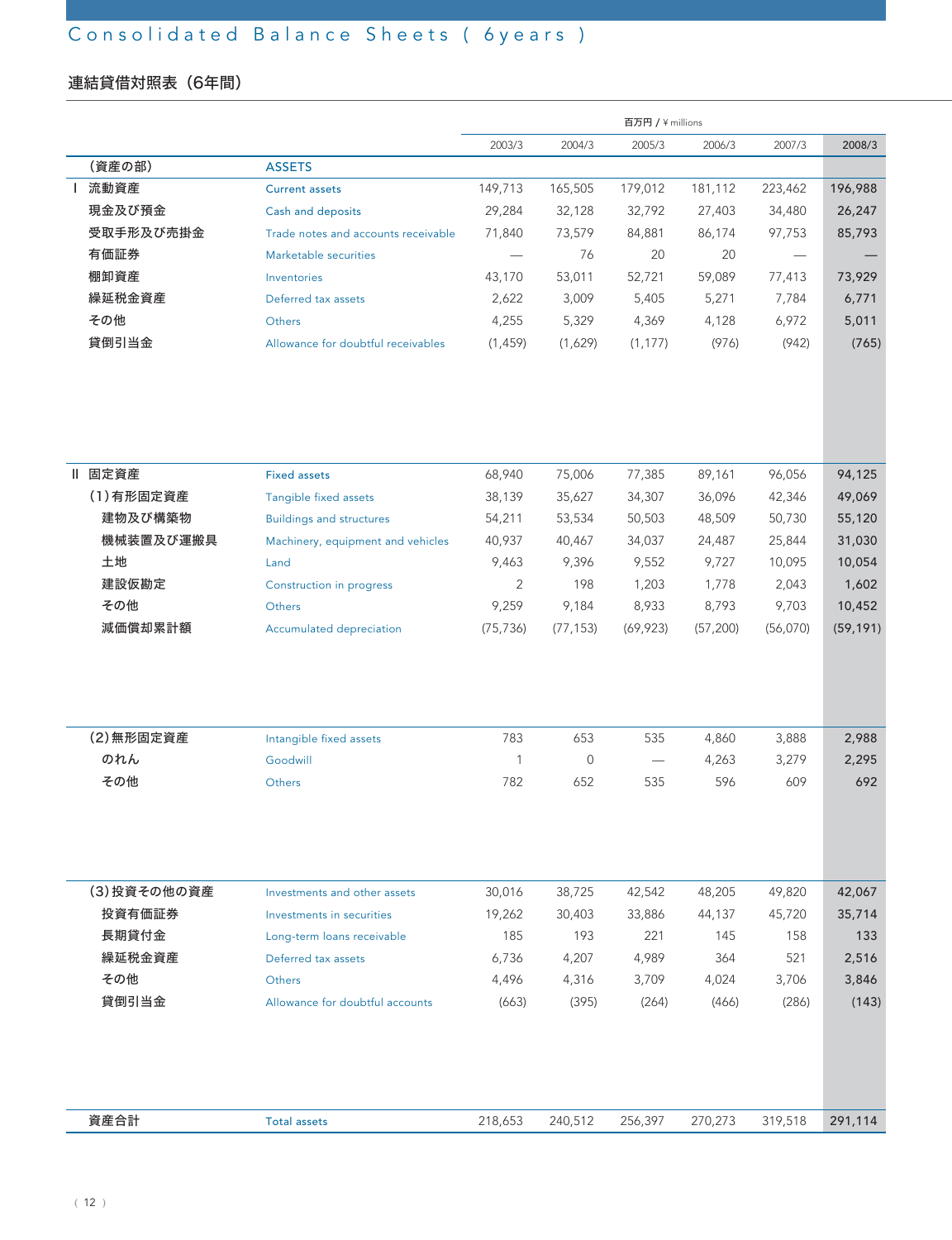# Consolidated Balance Sheets ( 6years )

# 連結貸借対照表(6年間)

|             |                                     |           |           | 百万円 / ¥ millions         |           |          |           |
|-------------|-------------------------------------|-----------|-----------|--------------------------|-----------|----------|-----------|
|             |                                     | 2003/3    | 2004/3    | 2005/3                   | 2006/3    | 2007/3   | 2008/3    |
| (資産の部)      | <b>ASSETS</b>                       |           |           |                          |           |          |           |
| 流動資産        | <b>Current assets</b>               | 149,713   | 165,505   | 179,012                  | 181,112   | 223,462  | 196,988   |
| 現金及び預金      | Cash and deposits                   | 29,284    | 32,128    | 32,792                   | 27,403    | 34,480   | 26,247    |
| 受取手形及び売掛金   | Trade notes and accounts receivable | 71,840    | 73,579    | 84,881                   | 86,174    | 97,753   | 85,793    |
| 有価証券        | Marketable securities               |           | 76        | 20                       | 20        |          |           |
| 棚卸資産        | Inventories                         | 43,170    | 53,011    | 52,721                   | 59,089    | 77,413   | 73,929    |
| 繰延税金資産      | Deferred tax assets                 | 2,622     | 3,009     | 5,405                    | 5,271     | 7,784    | 6,771     |
| その他         | Others                              | 4,255     | 5,329     | 4,369                    | 4,128     | 6,972    | 5,011     |
| 貸倒引当金       | Allowance for doubtful receivables  | (1, 459)  | (1,629)   | (1, 177)                 | (976)     | (942)    | (765)     |
|             |                                     |           |           |                          |           |          |           |
| Ⅱ 固定資産      | <b>Fixed assets</b>                 | 68,940    | 75,006    | 77,385                   | 89,161    | 96,056   | 94,125    |
| (1)有形固定資産   | Tangible fixed assets               | 38,139    | 35,627    | 34,307                   | 36,096    | 42,346   | 49,069    |
| 建物及び構築物     | <b>Buildings and structures</b>     | 54,211    | 53,534    | 50,503                   | 48,509    | 50,730   | 55,120    |
| 機械装置及び運搬具   | Machinery, equipment and vehicles   | 40,937    | 40,467    | 34,037                   | 24,487    | 25,844   | 31,030    |
| 土地          | Land                                | 9,463     | 9,396     | 9,552                    | 9,727     | 10,095   | 10,054    |
| 建設仮勘定       | Construction in progress            | 2         | 198       | 1,203                    | 1,778     | 2,043    | 1,602     |
| その他         | Others                              | 9,259     | 9,184     | 8,933                    | 8,793     | 9,703    | 10,452    |
| 減価償却累計額     | Accumulated depreciation            | (75, 736) | (77, 153) | (69, 923)                | (57, 200) | (56,070) | (59, 191) |
|             |                                     |           |           |                          |           |          |           |
| (2) 無形固定資産  | Intangible fixed assets             | 783       | 653       | 535                      | 4,860     | 3,888    | 2,988     |
| のれん         | Goodwill                            | 1         | 0         | $\overline{\phantom{m}}$ | 4,263     | 3,279    | 2,295     |
| その他         | Others                              | 782       | 652       | 535                      | 596       | 609      | 692       |
|             |                                     |           |           |                          |           |          |           |
| (3)投資その他の資産 | Investments and other assets        | 30,016    | 38,725    | 42,542                   | 48,205    | 49,820   | 42,067    |
| 投資有価証券      | Investments in securities           | 19,262    | 30,403    | 33,886                   | 44,137    | 45,720   | 35,714    |
| 長期貸付金       | Long-term loans receivable          | 185       | 193       | 221                      | 145       | 158      | 133       |
| 繰延税金資産      | Deferred tax assets                 | 6,736     | 4,207     | 4,989                    | 364       | 521      | 2,516     |
| その他         | Others                              | 4,496     | 4,316     | 3,709                    | 4,024     | 3,706    | 3,846     |
| 貸倒引当金       | Allowance for doubtful accounts     | (663)     | (395)     | (264)                    | (466)     | (286)    | (143)     |
|             |                                     |           |           |                          |           |          |           |
|             |                                     |           |           |                          |           |          |           |
| 資産合計        | <b>Total assets</b>                 | 218,653   | 240,512   | 256,397                  | 270,273   | 319,518  | 291,114   |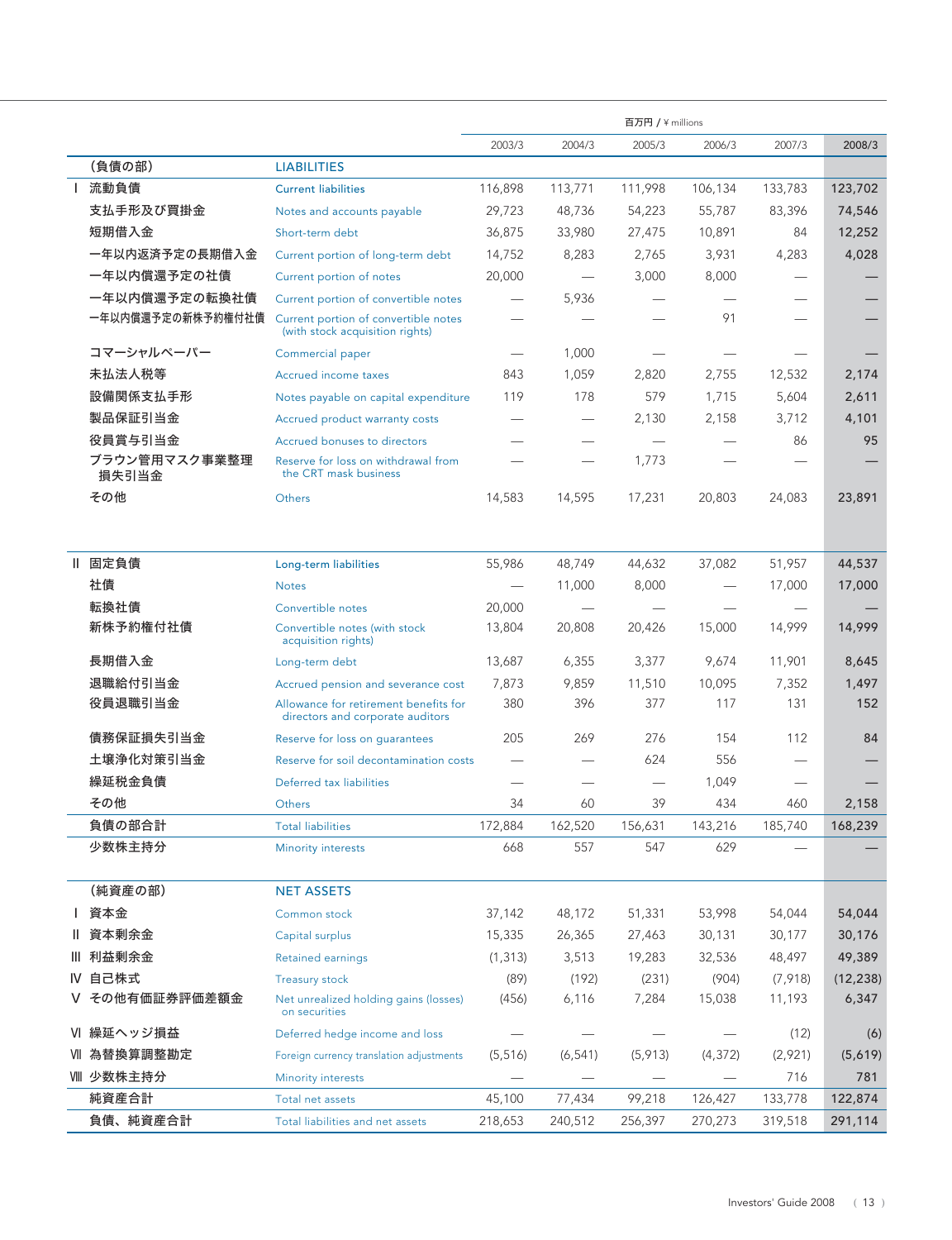|              |                        |                                                                           |                          |          | 百万円 / ¥ millions |                          |                          |           |
|--------------|------------------------|---------------------------------------------------------------------------|--------------------------|----------|------------------|--------------------------|--------------------------|-----------|
|              |                        |                                                                           | 2003/3                   | 2004/3   | 2005/3           | 2006/3                   | 2007/3                   | 2008/3    |
|              | (負債の部)                 | <b>LIABILITIES</b>                                                        |                          |          |                  |                          |                          |           |
| $\mathbf{L}$ | 流動負債                   | <b>Current liabilities</b>                                                | 116,898                  | 113,771  | 111,998          | 106,134                  | 133,783                  | 123,702   |
|              | 支払手形及び買掛金              | Notes and accounts payable                                                | 29,723                   | 48,736   | 54,223           | 55,787                   | 83,396                   | 74,546    |
|              | 短期借入金                  | Short-term debt                                                           | 36,875                   | 33,980   | 27,475           | 10,891                   | 84                       | 12,252    |
|              | 一年以内返済予定の長期借入金         | Current portion of long-term debt                                         | 14,752                   | 8,283    | 2,765            | 3,931                    | 4,283                    | 4,028     |
|              | 一年以内償還予定の社債            | Current portion of notes                                                  | 20,000                   |          | 3,000            | 8,000                    |                          |           |
|              | 一年以内償還予定の転換社債          | Current portion of convertible notes                                      |                          | 5,936    |                  |                          |                          |           |
|              | 一年以内償還予定の新株予約権付社債      | Current portion of convertible notes<br>(with stock acquisition rights)   |                          |          |                  | 91                       |                          |           |
|              | コマーシャルペーパー             | Commercial paper                                                          | $\overline{\phantom{m}}$ | 1,000    |                  |                          | $\overline{\phantom{0}}$ |           |
|              | 未払法人税等                 | Accrued income taxes                                                      | 843                      | 1,059    | 2,820            | 2,755                    | 12,532                   | 2,174     |
|              | 設備関係支払手形               | Notes payable on capital expenditure                                      | 119                      | 178      | 579              | 1,715                    | 5,604                    | 2,611     |
|              | 製品保証引当金                | Accrued product warranty costs                                            |                          |          | 2,130            | 2,158                    | 3,712                    | 4,101     |
|              | 役員賞与引当金                | Accrued bonuses to directors                                              |                          |          |                  |                          | 86                       | 95        |
|              | ブラウン管用マスク事業整理<br>損失引当金 | Reserve for loss on withdrawal from<br>the CRT mask business              |                          |          | 1,773            |                          |                          |           |
|              | その他                    | Others                                                                    | 14,583                   | 14,595   | 17,231           | 20,803                   | 24,083                   | 23,891    |
| Ш.           | 固定負債                   | Long-term liabilities                                                     | 55,986                   | 48,749   | 44,632           | 37,082                   | 51,957                   | 44,537    |
|              | 社債                     | <b>Notes</b>                                                              |                          | 11,000   | 8,000            |                          | 17,000                   | 17,000    |
|              | 転換社債                   | Convertible notes                                                         | 20,000                   |          |                  |                          |                          |           |
|              | 新株予約権付社債               | Convertible notes (with stock<br>acquisition rights)                      | 13,804                   | 20,808   | 20,426           | 15,000                   | 14,999                   | 14,999    |
|              | 長期借入金                  | Long-term debt                                                            | 13,687                   | 6,355    | 3,377            | 9,674                    | 11,901                   | 8,645     |
|              | 退職給付引当金                | Accrued pension and severance cost                                        | 7,873                    | 9,859    | 11,510           | 10,095                   | 7,352                    | 1,497     |
|              | 役員退職引当金                | Allowance for retirement benefits for<br>directors and corporate auditors | 380                      | 396      | 377              | 117                      | 131                      | 152       |
|              | 債務保証損失引当金              | Reserve for loss on quarantees                                            | 205                      | 269      | 276              | 154                      | 112                      | 84        |
|              | 土壌浄化対策引当金              | Reserve for soil decontamination costs                                    |                          |          | 624              | 556                      | —                        |           |
|              | 繰延税金負債                 | Deferred tax liabilities                                                  |                          |          |                  | 1,049                    |                          |           |
|              | その他                    | Others                                                                    | 34                       | 60       | 39               | 434                      | 460                      | 2,158     |
|              | 負債の部合計                 | <b>Total liabilities</b>                                                  | 172,884                  | 162,520  | 156,631          | 143,216                  | 185,740                  | 168,239   |
|              | 少数株主持分                 | <b>Minority interests</b>                                                 | 668                      | 557      | 547              | 629                      |                          |           |
|              | (純資産の部)                | <b>NET ASSETS</b>                                                         |                          |          |                  |                          |                          |           |
| I.           | 資本金                    | Common stock                                                              | 37,142                   | 48,172   | 51,331           | 53,998                   | 54,044                   | 54,044    |
|              | 資本剰余金                  | Capital surplus                                                           | 15,335                   | 26,365   | 27,463           | 30,131                   | 30,177                   | 30,176    |
|              | Ⅲ 利益剰余金                | Retained earnings                                                         | (1, 313)                 | 3,513    | 19,283           | 32,536                   | 48,497                   | 49,389    |
|              | IV 自己株式                | <b>Treasury stock</b>                                                     | (89)                     | (192)    | (231)            | (904)                    | (7, 918)                 | (12, 238) |
|              | その他有価証券評価差額金           | Net unrealized holding gains (losses)<br>on securities                    | (456)                    | 6,116    | 7,284            | 15,038                   | 11,193                   | 6,347     |
|              | VI 繰延ヘッジ損益             | Deferred hedge income and loss                                            |                          |          |                  |                          | (12)                     | (6)       |
|              | Ⅶ 為替換算調整勘定             | Foreign currency translation adjustments                                  | (5, 516)                 | (6, 541) | (5, 913)         | (4, 372)                 | (2,921)                  | (5,619)   |
|              | Ⅷ 少数株主持分               | Minority interests                                                        |                          |          |                  | $\overline{\phantom{0}}$ | 716                      | 781       |
|              | 純資産合計                  | Total net assets                                                          | 45,100                   | 77,434   | 99,218           | 126,427                  | 133,778                  | 122,874   |
|              | 負債、純資産合計               | Total liabilities and net assets                                          | 218,653                  | 240,512  | 256,397          | 270,273                  | 319,518                  | 291,114   |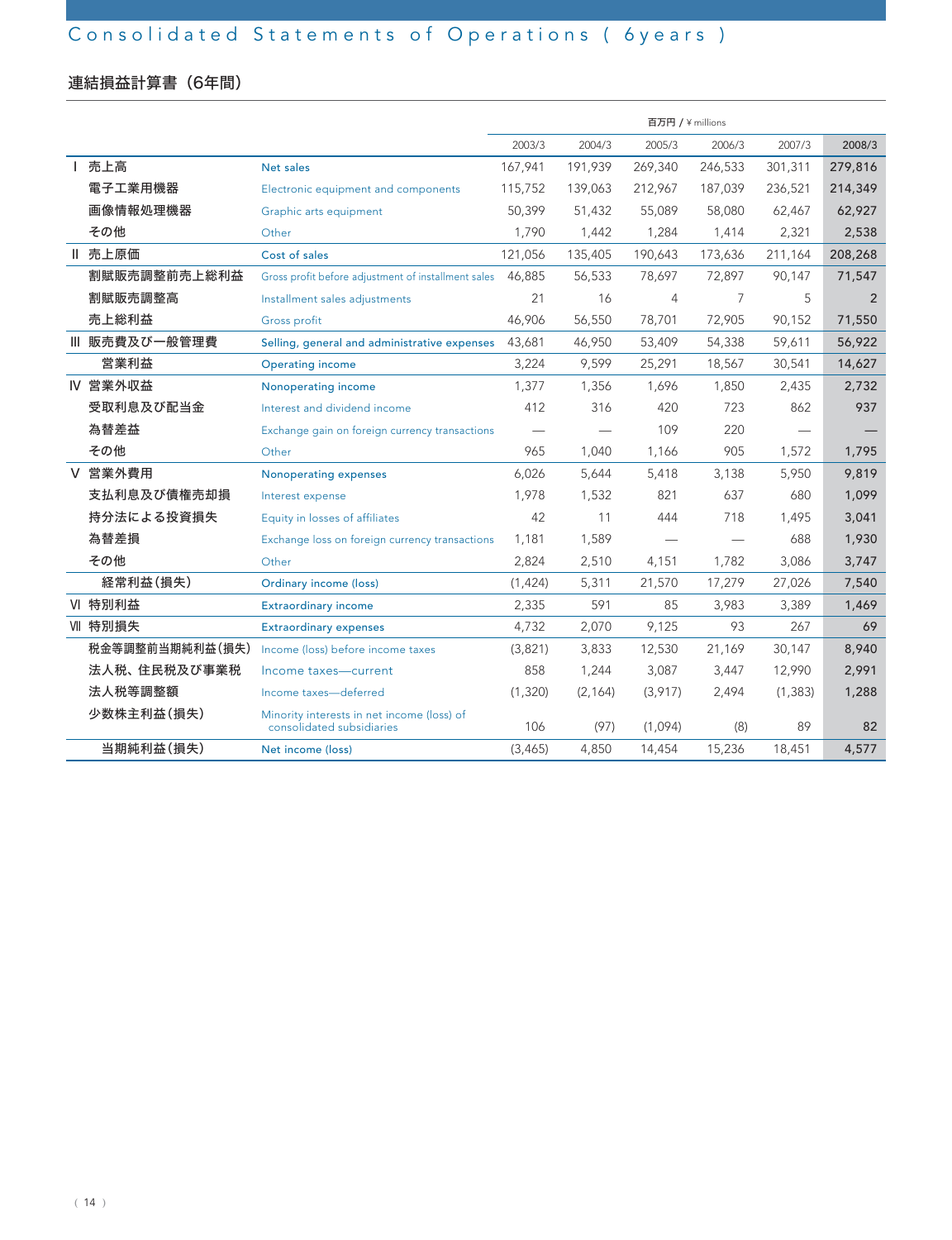# 連結損益計算書(6年間)

|   |                 |                                                                         | 百万円 / ¥ millions |                               |         |         |          |         |
|---|-----------------|-------------------------------------------------------------------------|------------------|-------------------------------|---------|---------|----------|---------|
|   |                 |                                                                         | 2003/3           | 2004/3                        | 2005/3  | 2006/3  | 2007/3   | 2008/3  |
|   | 売上高             | Net sales                                                               | 167,941          | 191,939                       | 269,340 | 246,533 | 301,311  | 279,816 |
|   | 電子工業用機器         | Electronic equipment and components                                     | 115,752          | 139,063                       | 212,967 | 187,039 | 236,521  | 214,349 |
|   | 画像情報処理機器        | Graphic arts equipment                                                  | 50.399           | 51,432                        | 55.089  | 58,080  | 62.467   | 62,927  |
|   | その他             | Other                                                                   | 1.790            | 1,442                         | 1,284   | 1,414   | 2,321    | 2,538   |
|   | Ⅱ 売上原価          | Cost of sales                                                           | 121,056          | 135,405                       | 190.643 | 173,636 | 211,164  | 208,268 |
|   | 割賦販売調整前売上総利益    | Gross profit before adjustment of installment sales                     | 46,885           | 56,533                        | 78,697  | 72,897  | 90,147   | 71,547  |
|   | 割賦販売調整高         | Installment sales adjustments                                           | 21               | 16                            | 4       | 7       | 5        | 2       |
|   | 売上総利益           | Gross profit                                                            | 46,906           | 56,550                        | 78,701  | 72,905  | 90,152   | 71,550  |
|   | Ⅲ 販売費及び一般管理費    | Selling, general and administrative expenses                            | 43,681           | 46,950                        | 53,409  | 54,338  | 59,611   | 56,922  |
|   | 営業利益            | <b>Operating income</b>                                                 | 3,224            | 9,599                         | 25,291  | 18,567  | 30,541   | 14,627  |
|   | IV 営業外収益        | Nonoperating income                                                     | 1,377            | 1,356                         | 1,696   | 1,850   | 2,435    | 2,732   |
|   | 受取利息及び配当金       | Interest and dividend income                                            | 412              | 316                           | 420     | 723     | 862      | 937     |
|   | 為替差益            | Exchange gain on foreign currency transactions                          |                  | $\overbrace{\phantom{12333}}$ | 109     | 220     |          |         |
|   | その他             | Other                                                                   | 965              | 1,040                         | 1,166   | 905     | 1,572    | 1,795   |
| V | 営業外費用           | Nonoperating expenses                                                   | 6,026            | 5,644                         | 5,418   | 3,138   | 5,950    | 9,819   |
|   | 支払利息及び債権売却損     | Interest expense                                                        | 1,978            | 1,532                         | 821     | 637     | 680      | 1,099   |
|   | 持分法による投資損失      | Equity in losses of affiliates                                          | 42               | 11                            | 444     | 718     | 1,495    | 3,041   |
|   | 為替差損            | Exchange loss on foreign currency transactions                          | 1,181            | 1,589                         |         |         | 688      | 1,930   |
|   | その他             | Other                                                                   | 2,824            | 2,510                         | 4,151   | 1.782   | 3,086    | 3,747   |
|   | 経常利益(損失)        | Ordinary income (loss)                                                  | (1, 424)         | 5,311                         | 21,570  | 17,279  | 27,026   | 7,540   |
|   | VI 特別利益         | <b>Extraordinary income</b>                                             | 2,335            | 591                           | 85      | 3,983   | 3,389    | 1,469   |
|   | VII 特別損失        | <b>Extraordinary expenses</b>                                           | 4,732            | 2,070                         | 9,125   | 93      | 267      | 69      |
|   | 税金等調整前当期純利益(損失) | Income (loss) before income taxes                                       | (3,821)          | 3,833                         | 12,530  | 21,169  | 30,147   | 8,940   |
|   | 法人税、住民税及び事業税    | Income taxes-current                                                    | 858              | 1,244                         | 3,087   | 3,447   | 12,990   | 2,991   |
|   | 法人税等調整額         | Income taxes-deferred                                                   | (1,320)          | (2, 164)                      | (3,917) | 2,494   | (1, 383) | 1,288   |
|   | 少数株主利益(損失)      | Minority interests in net income (loss) of<br>consolidated subsidiaries | 106              | (97)                          | (1,094) | (8)     | 89       | 82      |
|   | 当期純利益(損失)       | Net income (loss)                                                       | (3, 465)         | 4,850                         | 14,454  | 15,236  | 18,451   | 4,577   |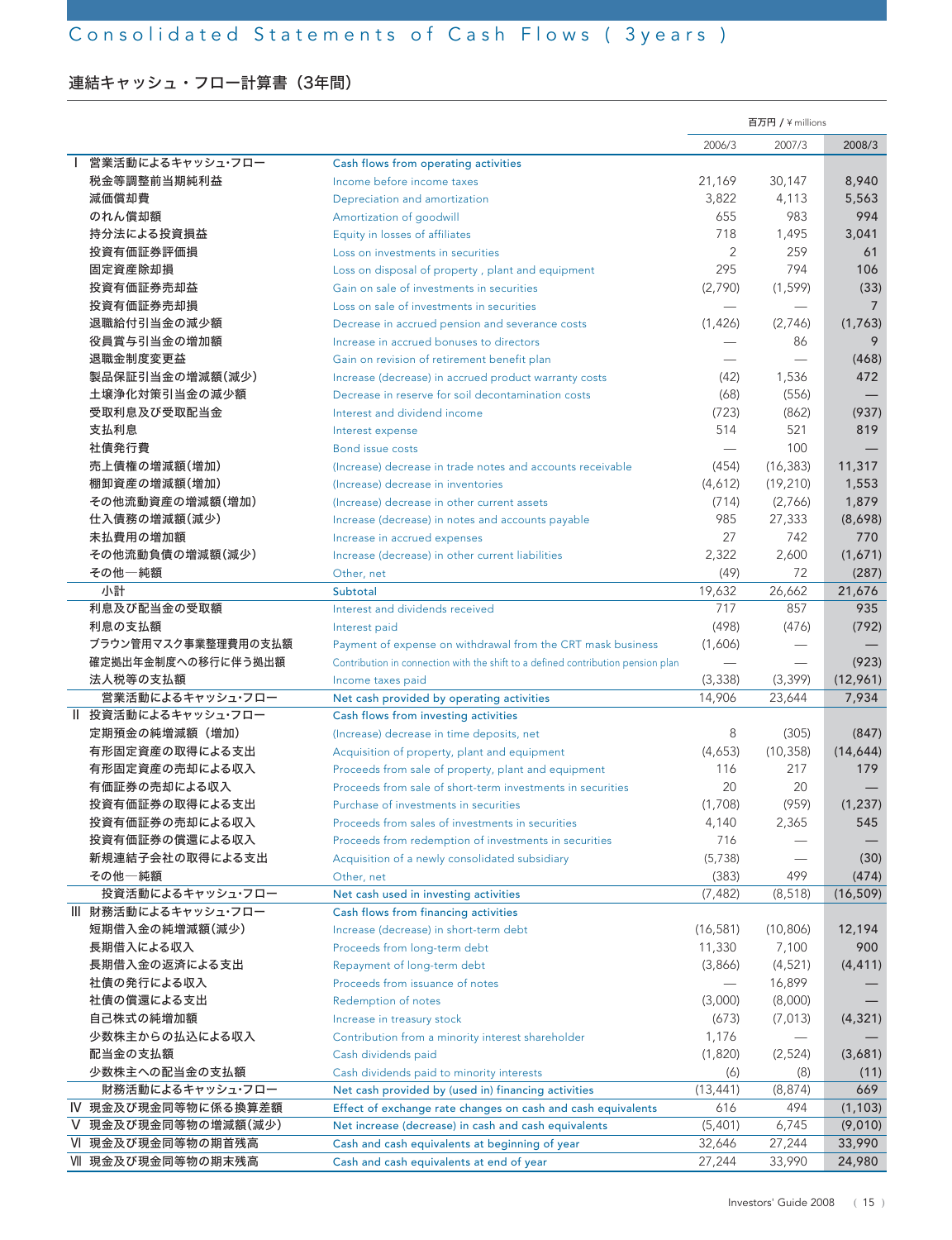# 連結キャッシュ・フロー計算書 (3年間)

|                     |                                                                                   | 百万円 / ¥ millions         |           |                |
|---------------------|-----------------------------------------------------------------------------------|--------------------------|-----------|----------------|
|                     |                                                                                   | 2006/3                   | 2007/3    | 2008/3         |
| 営業活動によるキャッシュ・フロー    | Cash flows from operating activities                                              |                          |           |                |
| 税金等調整前当期純利益         | Income before income taxes                                                        | 21,169                   | 30,147    | 8,940          |
| 減価償却費               | Depreciation and amortization                                                     | 3,822                    | 4,113     | 5,563          |
| のれん償却額              | Amortization of goodwill                                                          | 655                      | 983       | 994            |
| 持分法による投資損益          | Equity in losses of affiliates                                                    | 718                      | 1,495     | 3,041          |
| 投資有価証券評価損           | Loss on investments in securities                                                 | $\overline{2}$           | 259       | 61             |
| 固定資産除却損             | Loss on disposal of property, plant and equipment                                 | 295                      | 794       | 106            |
| 投資有価証券売却益           | Gain on sale of investments in securities                                         | (2,790)                  | (1, 599)  | (33)           |
| 投資有価証券売却損           | Loss on sale of investments in securities                                         |                          |           | $\overline{7}$ |
| 退職給付引当金の減少額         | Decrease in accrued pension and severance costs                                   | (1,426)                  | (2,746)   | (1,763)        |
| 役員賞与引当金の増加額         | Increase in accrued bonuses to directors                                          |                          | 86        | 9              |
| 退職金制度変更益            | Gain on revision of retirement benefit plan                                       |                          |           | (468)          |
| 製品保証引当金の増減額(減少)     | Increase (decrease) in accrued product warranty costs                             | (42)                     | 1,536     | 472            |
| 土壌浄化対策引当金の減少額       | Decrease in reserve for soil decontamination costs                                | (68)                     | (556)     |                |
| 受取利息及び受取配当金         | Interest and dividend income                                                      | (723)                    | (862)     | (937)          |
| 支払利息                | Interest expense                                                                  | 514                      | 521       | 819            |
| 社債発行費               | <b>Bond issue costs</b>                                                           | $\overline{\phantom{0}}$ | 100       |                |
| 売上債権の増減額(増加)        | (Increase) decrease in trade notes and accounts receivable                        | (454)                    | (16, 383) | 11,317         |
| 棚卸資産の増減額(増加)        | (Increase) decrease in inventories                                                | (4,612)                  | (19, 210) | 1,553          |
| その他流動資産の増減額(増加)     | (Increase) decrease in other current assets                                       | (714)                    | (2,766)   | 1,879          |
| 仕入債務の増減額(減少)        | Increase (decrease) in notes and accounts payable                                 | 985                      | 27,333    | (8,698)        |
| 未払費用の増加額            | Increase in accrued expenses                                                      | 27                       | 742       | 770            |
| その他流動負債の増減額(減少)     | Increase (decrease) in other current liabilities                                  | 2,322                    | 2,600     | (1,671)        |
| その他一純額              | Other, net                                                                        | (49)                     | 72        | (287)          |
| 小計                  | Subtotal                                                                          | 19,632                   | 26,662    | 21,676         |
| 利息及び配当金の受取額         | Interest and dividends received                                                   | 717                      | 857       | 935            |
| 利息の支払額              | Interest paid                                                                     | (498)                    | (476)     | (792)          |
| ブラウン管用マスク事業整理費用の支払額 | Payment of expense on withdrawal from the CRT mask business                       | (1,606)                  |           |                |
| 確定拠出年金制度への移行に伴う拠出額  | Contribution in connection with the shift to a defined contribution pension plan  |                          |           | (923)          |
| 法人税等の支払額            | Income taxes paid                                                                 | (3, 338)                 | (3, 399)  | (12,961)       |
| 営業活動によるキャッシュ・フロー    |                                                                                   | 14,906                   | 23,644    | 7,934          |
| Ⅱ 投資活動によるキャッシュ・フロー  | Net cash provided by operating activities<br>Cash flows from investing activities |                          |           |                |
| 定期預金の純増減額 (増加)      | (Increase) decrease in time deposits, net                                         | 8                        | (305)     | (847)          |
| 有形固定資産の取得による支出      | Acquisition of property, plant and equipment                                      | (4,653)                  | (10, 358) | (14, 644)      |
| 有形固定資産の売却による収入      | Proceeds from sale of property, plant and equipment                               | 116                      | 217       | 179            |
| 有価証券の売却による収入        | Proceeds from sale of short-term investments in securities                        | 20                       | 20        |                |
| 投資有価証券の取得による支出      | Purchase of investments in securities                                             | (1,708)                  | (959)     | (1, 237)       |
| 投資有価証券の売却による収入      | Proceeds from sales of investments in securities                                  | 4,140                    | 2,365     | 545            |
| 投資有価証券の償還による収入      | Proceeds from redemption of investments in securities                             | 716                      |           |                |
| 新規連結子会社の取得による支出     | Acquisition of a newly consolidated subsidiary                                    | (5,738)                  |           | (30)           |
| その他一純額              |                                                                                   | (383)                    | 499       | (474)          |
| 投資活動によるキャッシュ・フロー    | Other, net<br>Net cash used in investing activities                               | (7, 482)                 | (8, 518)  | (16, 509)      |
| Ⅲ 財務活動によるキャッシュ・フロー  |                                                                                   |                          |           |                |
| 短期借入金の純増減額(減少)      | Cash flows from financing activities<br>Increase (decrease) in short-term debt    |                          | (10, 806) |                |
| 長期借入による収入           | Proceeds from long-term debt                                                      | (16, 581)                | 7,100     | 12,194<br>900  |
| 長期借入金の返済による支出       |                                                                                   | 11,330<br>(3,866)        |           |                |
| 社債の発行による収入          | Repayment of long-term debt                                                       |                          | (4,521)   | (4, 411)       |
|                     | Proceeds from issuance of notes                                                   |                          | 16,899    |                |
| 社債の償還による支出          | Redemption of notes                                                               | (3,000)                  | (8,000)   |                |
| 自己株式の純増加額           | Increase in treasury stock                                                        | (673)                    | (7, 013)  | (4, 321)       |
| 少数株主からの払込による収入      | Contribution from a minority interest shareholder                                 | 1,176                    |           |                |
| 配当金の支払額             | Cash dividends paid                                                               | (1,820)                  | (2,524)   | (3,681)        |
| 少数株主への配当金の支払額       | Cash dividends paid to minority interests                                         | (6)                      | (8)       | (11)           |
| 財務活動によるキャッシュ・フロー    | Net cash provided by (used in) financing activities                               | (13, 441)                | (8, 874)  | 669            |
| Ⅳ 現金及び現金同等物に係る換算差額  | Effect of exchange rate changes on cash and cash equivalents                      | 616                      | 494       | (1, 103)       |
| Ⅴ 現金及び現金同等物の増減額(減少) | Net increase (decrease) in cash and cash equivalents                              | (5,401)                  | 6,745     | (9,010)        |
| Ⅵ 現金及び現金同等物の期首残高    | Cash and cash equivalents at beginning of year                                    | 32,646                   | 27,244    | 33,990         |
| Ⅶ 現金及び現金同等物の期末残高    | Cash and cash equivalents at end of year                                          | 27,244                   | 33,990    | 24,980         |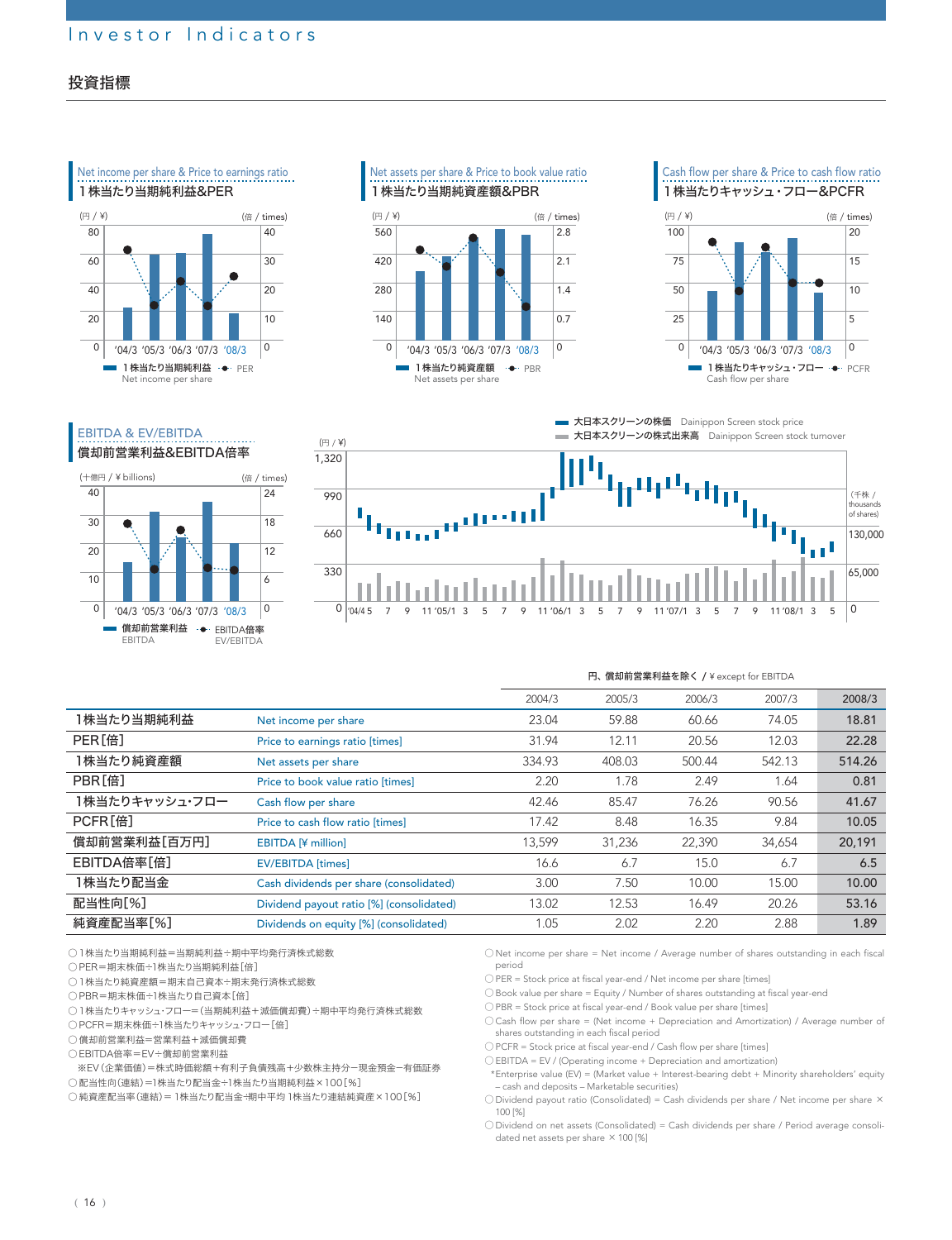### 投資指標



(倍 / times)

. . . . . . . . . . . .

Net assets per share & Price to book value ratio 1株当たり当期純資産額&PBR



Cash flow per share & Price to cash flow ratio 1株当たりキャッシュ・フロー&PCFR





|                    |                                          | 2004/3 | 2005/3 | 2006/3 | 2007/3 | 2008/3 |
|--------------------|------------------------------------------|--------|--------|--------|--------|--------|
| 1株当たり当期純利益         | Net income per share                     | 23.04  | 59.88  | 60.66  | 74.05  | 18.81  |
| PER <sup>[倍]</sup> | Price to earnings ratio [times]          | 31.94  | 12.11  | 20.56  | 12.03  | 22.28  |
| 1株当たり純資産額          | Net assets per share                     | 334.93 | 408.03 | 500.44 | 542.13 | 514.26 |
| PBR[倍]             | Price to book value ratio [times]        | 2.20   | 1.78   | 2.49   | 1.64   | 0.81   |
| 1株当たりキャッシュ・フロー     | Cash flow per share                      | 42.46  | 85.47  | 76.26  | 90.56  | 41.67  |
| PCFR[倍]            | Price to cash flow ratio [times]         | 17.42  | 8.48   | 16.35  | 9.84   | 10.05  |
| 償却前営業利益[百万円]       | <b>EBITDA [¥ million]</b>                | 13.599 | 31.236 | 22,390 | 34,654 | 20,191 |
| <b>EBITDA倍率「倍]</b> | <b>EV/EBITDA</b> [times]                 | 16.6   | 6.7    | 15.0   | 6.7    | 6.5    |
| 1株当たり配当金           | Cash dividends per share (consolidated)  | 3.00   | 7.50   | 10.00  | 15.00  | 10.00  |
| 配当性向[%]            | Dividend payout ratio [%] (consolidated) | 13.02  | 12.53  | 16.49  | 20.26  | 53.16  |
| 純資産配当率[%]          | Dividends on equity [%] (consolidated)   | 1.05   | 2.02   | 2.20   | 2.88   | 1.89   |
|                    |                                          |        |        |        |        |        |

○1株当たり当期純利益=当期純利益÷期中平均発行済株式総数

償却前営業利益 →→・EBITDA倍率

'04/3 '05/3 '06/3 '07/3 '08/3

EBITDA

(十億円 / ¥ billions) 40 30 20 10  $\Omega$ 

●

EBITDA & EV/EBITDA 償却前営業利益&EBITDA倍率

EV/EBITDA

○ PER=期末株価÷1株当たり当期純利益[倍]

○1株当たり純資産額=期末自己資本÷期末発行済株式総数

○ PBR=期末株価÷1株当たり自己資本[倍]

○1株当たりキャッシュ・フロー=(当期純利益+減価償却費)÷期中平均発行済株式総数

○ PCFR=期末株価÷1株当たりキャッシュ・フロー[倍]

○ 償却前営業利益=営業利益+減価償却費

○ EBITDA倍率=EV÷償却前営業利益

※EV(企業価値)=株式時価総額+有利子負債残高+少数株主持分-現金預金-有価証券

○ 配当性向(連結)=1株当たり配当金÷1株当たり当期純利益×100[%]

○ 純資産配当率(連結)=1株当たり配当金÷期中平均1株当たり連結純資産×100[%]

○ Net income per share = Net income / Average number of shares outstanding in each fiscal period

円、償却前営業利益を除く / ¥ except for EBITDA

○ PER = Stock price at fiscal year-end / Net income per share [times]

○ Book value per share = Equity / Number of shares outstanding at fiscal year-end

○ PBR = Stock price at fiscal year-end / Book value per share [times]

○ Cash flow per share = (Net income + Depreciation and Amortization) / Average number of shares outstanding in each fiscal period

○ PCFR = Stock price at fiscal year-end / Cash flow per share [times]

○ EBITDA = EV / (Operating income + Depreciation and amortization)

\*Enterprise value (EV) = (Market value + Interest-bearing debt + Minority shareholders' equity – cash and deposits – Marketable securities)

○ Dividend payout ratio (Consolidated) = Cash dividends per share / Net income per share × 100 [%]

○ Dividend on net assets (Consolidated) = Cash dividends per share / Period average consolidated net assets per share  $\times$  100 [%]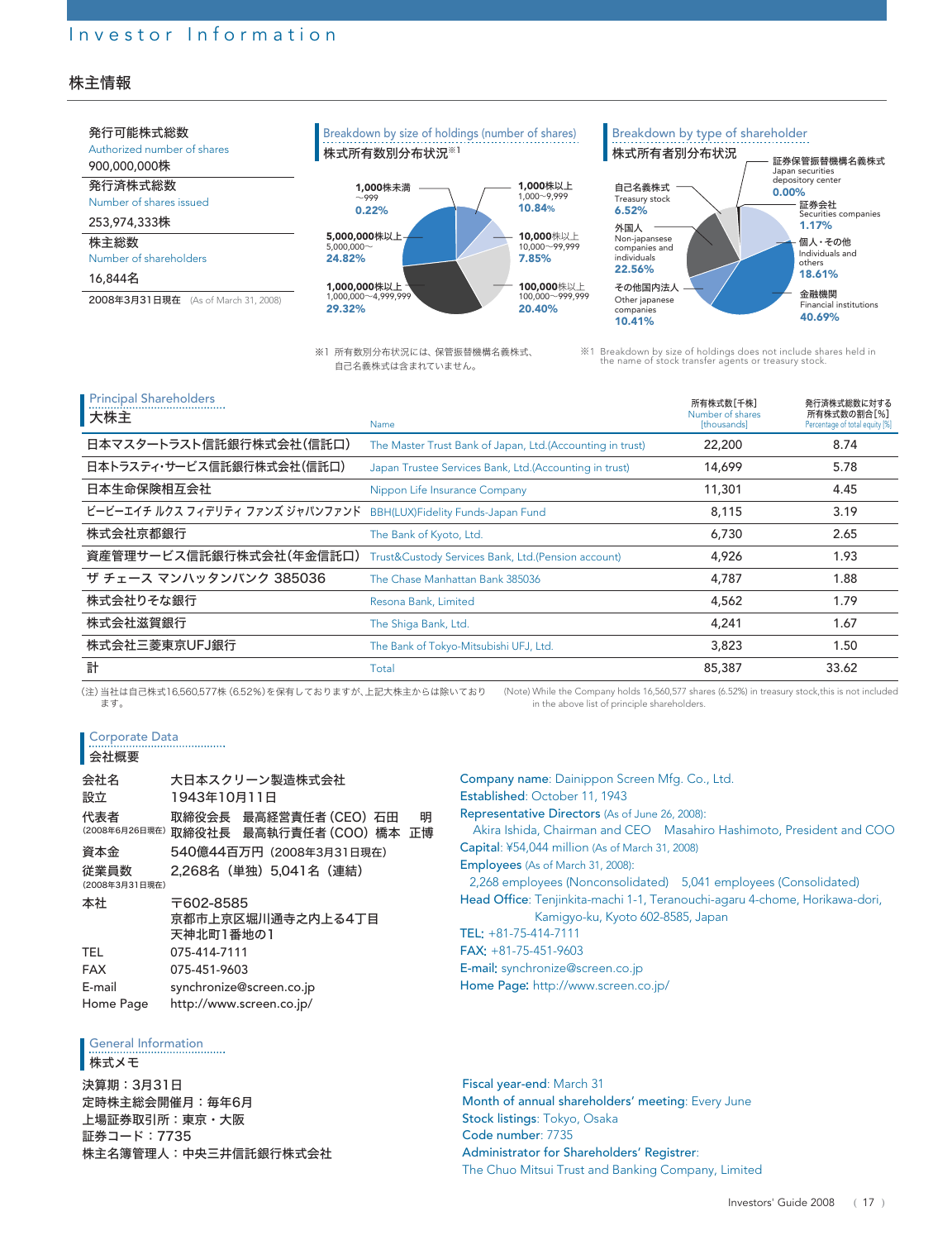#### 株主情報



※1 所有数別分布状況には、保管振替機構名義株式、 自己名義株式は含まれていません。

※1 Breakdown by size of holdings does not include shares held in the name of stock transfer agents or treasury stock.

| <b>Principal Shareholders</b><br>大株主 | Name                                                      | 所有株式数「千株]<br>Number of shares<br>[thousands] | 発行済株式総数に対する<br>所有株式数の割合[%]<br>Percentage of total equity [%] |
|--------------------------------------|-----------------------------------------------------------|----------------------------------------------|--------------------------------------------------------------|
| 日本マスタートラスト信託銀行株式会社(信託口)              | The Master Trust Bank of Japan, Ltd.(Accounting in trust) | 22,200                                       | 8.74                                                         |
| 日本トラスティ・サービス信託銀行株式会社(信託口)            | Japan Trustee Services Bank, Ltd. (Accounting in trust)   | 14,699                                       | 5.78                                                         |
| 日本生命保険相互会社                           | Nippon Life Insurance Company                             | 11,301                                       | 4.45                                                         |
| ビービーエイチ ルクス フィデリティ ファンズ ジャパンファンド     | BBH(LUX)Fidelity Funds-Japan Fund                         | 8,115                                        | 3.19                                                         |
| 株式会社京都銀行                             | The Bank of Kyoto, Ltd.                                   | 6.730                                        | 2.65                                                         |
| 資産管理サービス信託銀行株式会社(年金信託口)              | Trust&Custody Services Bank, Ltd.(Pension account)        | 4,926                                        | 1.93                                                         |
| ザ チェース マンハッタンバンク 385036              | The Chase Manhattan Bank 385036                           | 4,787                                        | 1.88                                                         |
| 株式会社りそな銀行                            | Resona Bank, Limited                                      | 4,562                                        | 1.79                                                         |
| 株式会社滋賀銀行                             | The Shiga Bank, Ltd.                                      | 4,241                                        | 1.67                                                         |
| 株式会社三菱東京UFJ銀行                        | The Bank of Tokyo-Mitsubishi UFJ, Ltd.                    | 3,823                                        | 1.50                                                         |
| 計                                    | Total                                                     | 85,387                                       | 33.62                                                        |

(注)当社は自己株式16,560,577株(6.52%)を保有しておりますが、上記大株主からは除いており ます。 (Note) While the Company holds 16,560,577 shares (6.52%) in treasury stock,this is not included in the above list of principle shareholders.

Corporate Data

#### 会社概要

| 会社名                    | 大日本スクリーン製造株式会社                                          |
|------------------------|---------------------------------------------------------|
| 設立                     | 1943年10月11日                                             |
| 代表者<br>(2008年6月26日現在)  | 取締役会長 最高経営責任者(CEO) 石田<br>明<br>取締役社長 最高執行責任者 (COO) 橋本 正博 |
| 資本金                    | 540億44百万円(2008年3月31日現在)                                 |
| 従業員数<br>(2008年3月31日現在) | 2.268名(単独)5.041名(連結)                                    |
| 本社                     | 〒602-8585<br>京都市上京区堀川通寺之内上る4丁目<br>天神北町1番地の1             |
| <b>TEL</b>             | 075-414-7111                                            |
| <b>FAX</b>             | 075-451-9603                                            |
| E-mail                 | synchronize@screen.co.jp                                |
| Home Page              | http://www.screen.co.jp/                                |

General Information

株式メモ

決算期:3月31日 定時株主総会開催月:毎年6月 上場証券取引所:東京・大阪 証券コード:7735 株主名簿管理人:中央三井信託銀行株式会社

#### Company name: Dainippon Screen Mfg. Co., Ltd. Established: October 11, 1943 Representative Directors (As of June 26, 2008): Akira Ishida, Chairman and CEO Masahiro Hashimoto, President and COO Capital: ¥54,044 million (As of March 31, 2008) Employees (As of March 31, 2008): 2,268 employees (Nonconsolidated) 5,041 employees (Consolidated) Head Office: Tenjinkita-machi 1-1, Teranouchi-agaru 4-chome, Horikawa-dori, Kamigyo-ku, Kyoto 602-8585, Japan TEL: +81-75-414-7111 FAX: +81-75-451-9603 E-mail: synchronize@screen.co.jp Home Page: http://www.screen.co.jp/

Fiscal year-end: March 31 Month of annual shareholders' meeting: Every June Stock listings: Tokyo, Osaka Code number: 7735 Administrator for Shareholders' Registrer: The Chuo Mitsui Trust and Banking Company, Limited